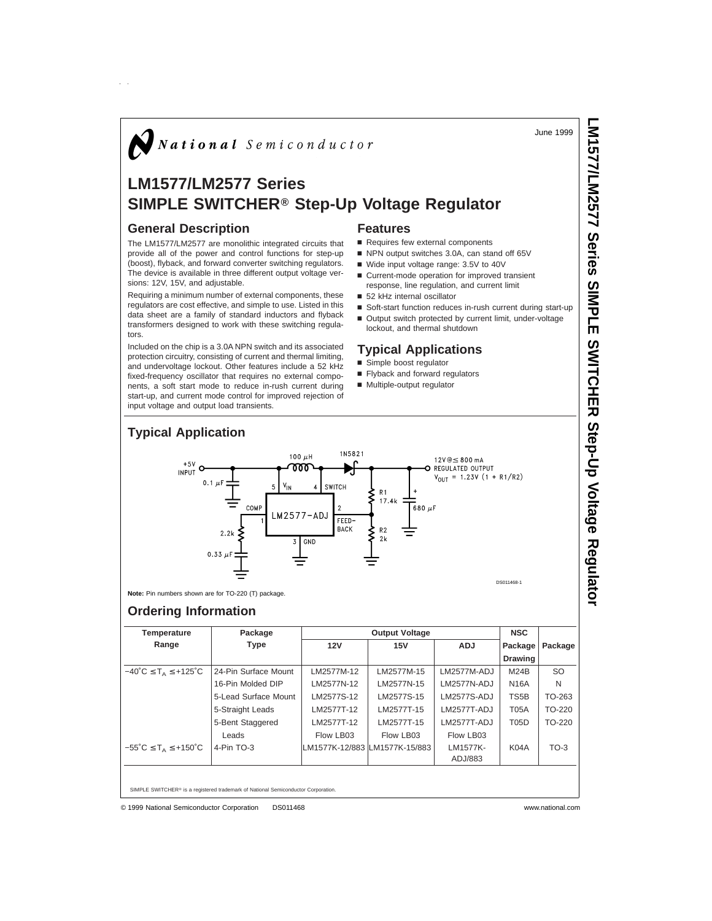June 1999

**LM1577/LM2577**

 **Series SIMPLE** 

**SWITCHER**

 **Step-Up Voltage Regulator**

# $\int$  National Semiconductor

# **LM1577/LM2577 Series SIMPLE SWITCHER® Step-Up Voltage Regulator**

### **General Description**

 $\bar{L}$  ,  $\bar{L}$ 

The LM1577/LM2577 are monolithic integrated circuits that provide all of the power and control functions for step-up (boost), flyback, and forward converter switching regulators. The device is available in three different output voltage versions: 12V, 15V, and adjustable.

Requiring a minimum number of external components, these regulators are cost effective, and simple to use. Listed in this data sheet are a family of standard inductors and flyback transformers designed to work with these switching regulators.

Included on the chip is a 3.0A NPN switch and its associated protection circuitry, consisting of current and thermal limiting, and undervoltage lockout. Other features include a 52 kHz fixed-frequency oscillator that requires no external components, a soft start mode to reduce in-rush current during start-up, and current mode control for improved rejection of input voltage and output load transients.

# **Features**

- Requires few external components
- NPN output switches 3.0A, can stand off 65V
- Wide input voltage range: 3.5V to 40V
- Current-mode operation for improved transient response, line regulation, and current limit
- $\blacksquare$  52 kHz internal oscillator
- Soft-start function reduces in-rush current during start-up
- Output switch protected by current limit, under-voltage lockout, and thermal shutdown

### **Typical Applications**

- Simple boost regulator
- Flyback and forward regulators
- Multiple-output regulator



### **Note:** Pin numbers shown are for TO-220 (T) package.

## **Ordering Information**

| Temperature                                                    | Package              |                               | <b>Output Voltage</b> |             | <b>NSC</b>     |           |
|----------------------------------------------------------------|----------------------|-------------------------------|-----------------------|-------------|----------------|-----------|
| Range                                                          | <b>Type</b>          | 12V                           | 15V                   | <b>ADJ</b>  | Package        | Package   |
|                                                                |                      |                               |                       |             | <b>Drawing</b> |           |
| $-40^{\circ}$ C $\leq$ T <sub>A</sub> $\leq$ +125 $^{\circ}$ C | 24-Pin Surface Mount | LM2577M-12                    | LM2577M-15            | LM2577M-ADJ | M24B           | <b>SO</b> |
|                                                                | 16-Pin Molded DIP    | LM2577N-12                    | LM2577N-15            | LM2577N-ADJ | <b>N16A</b>    | N         |
|                                                                | 5-Lead Surface Mount | LM2577S-12                    | LM2577S-15            | LM2577S-ADJ | TS5B           | TO-263    |
|                                                                | 5-Straight Leads     | LM2577T-12                    | LM2577T-15            | LM2577T-ADJ | <b>T05A</b>    | TO-220    |
|                                                                | 5-Bent Staggered     | LM2577T-12                    | LM2577T-15            | LM2577T-ADJ | <b>T05D</b>    | TO-220    |
|                                                                | Leads                | Flow LB03                     | Flow LB03             | Flow LB03   |                |           |
| $-55^{\circ}$ C $\leq$ T <sub>A</sub> $\leq$ +150 $^{\circ}$ C | 4-Pin TO-3           | LM1577K-12/883 LM1577K-15/883 |                       | LM1577K-    | <b>K04A</b>    | $TO-3$    |
|                                                                |                      |                               |                       | ADJ/883     |                |           |
|                                                                |                      |                               |                       |             |                |           |
|                                                                |                      |                               |                       |             |                |           |

SIMPLE SWITCHER® is a registered trademark of National Semiconductor Corporation.

© 1999 National Semiconductor Corporation DS011468 www.national.com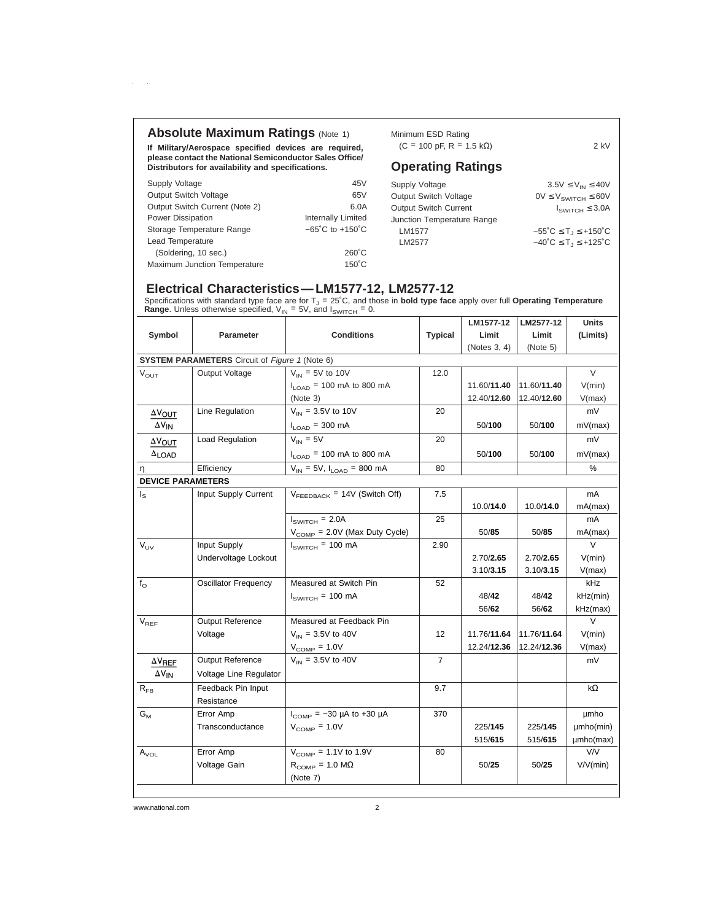## **Absolute Maximum Ratings (Note 1)**

 $\alpha=1$ 

**If Military/Aerospace specified devices are required, please contact the National Semiconductor Sales Office/ Distributors for availability and specifications.**

| Supply Voltage                 | 45V                                 |
|--------------------------------|-------------------------------------|
| Output Switch Voltage          | 65V                                 |
| Output Switch Current (Note 2) | 6.0A                                |
| Power Dissipation              | <b>Internally Limited</b>           |
| Storage Temperature Range      | $-65^{\circ}$ C to $+150^{\circ}$ C |
| Lead Temperature               |                                     |
| (Soldering, 10 sec.)           | $260^{\circ}$ C                     |
| Maximum Junction Temperature   | $150^{\circ}$ C                     |

Minimum ESD Rating  $(C = 100 \text{ pF}, R = 1.5 \text{ k}\Omega)$  2 kV

# **Operating Ratings**

| Supply Voltage               | $3.5V \leq V_{IN} \leq 40V$                                    |
|------------------------------|----------------------------------------------------------------|
| <b>Output Switch Voltage</b> | $0V \leq V_{SWITCH} \leq 60V$                                  |
| <b>Output Switch Current</b> | $I_{SWITCH} \leq 3.0A$                                         |
| Junction Temperature Range   |                                                                |
| LM1577                       | $-55^{\circ}$ C $\leq$ T <sub>1</sub> $\leq$ +150 $^{\circ}$ C |
| LM2577                       | $-40^{\circ}C \leq T_1 \leq +125^{\circ}C$                     |
|                              |                                                                |

+125°C

# **Electrical Characteristics— LM1577-12, LM2577-12**

Specifications with standard type face are for T<sub>J</sub> = 25˚C, and those in **bold type face** apply over full **Operating Temperature**<br>**Range**. Unless otherwise specified, V<sub>IN</sub> = 5V, and I<sub>SWITCH</sub> = 0.

|                            |                                                       |                                              |                | LM1577-12    | LM2577-12   | <b>Units</b>  |
|----------------------------|-------------------------------------------------------|----------------------------------------------|----------------|--------------|-------------|---------------|
| Symbol                     | <b>Parameter</b>                                      | <b>Conditions</b>                            | <b>Typical</b> | Limit        | Limit       | (Limits)      |
|                            |                                                       |                                              |                | (Notes 3, 4) | (Note 5)    |               |
|                            | <b>SYSTEM PARAMETERS</b> Circuit of Figure 1 (Note 6) |                                              |                |              |             |               |
| $V_{OUT}$                  | Output Voltage                                        | $V_{IN}$ = 5V to 10V                         | 12.0           |              |             | $\vee$        |
|                            |                                                       | $I_{I \text{ OAD}}$ = 100 mA to 800 mA       |                | 11.60/11.40  | 11.60/11.40 | V(min)        |
|                            |                                                       | (Note 3)                                     |                | 12.40/12.60  | 12.40/12.60 | V(max)        |
| $\Delta V_{\rm OUT}$       | Line Regulation                                       | $V_{IN}$ = 3.5V to 10V                       | 20             |              |             | mV            |
| $\Delta V_{IN}$            |                                                       | $I_{LOAD}$ = 300 mA                          |                | 50/100       | 50/100      | mV(max)       |
| <b>AVOUT</b>               | Load Regulation                                       | $V_{IN} = 5V$                                | 20             |              |             | mV            |
| $\Delta$ LOAD              |                                                       | $I_{\text{LOAD}}$ = 100 mA to 800 mA         |                | 50/100       | 50/100      | mV(max)       |
| η                          | Efficiency                                            | $V_{IN} = 5V$ , $I_{LOAD} = 800$ mA          | 80             |              |             | %             |
| <b>DEVICE PARAMETERS</b>   |                                                       |                                              |                |              |             |               |
| $I_{\rm S}$                | Input Supply Current                                  | $V_{\text{FEEDBACK}}$ = 14V (Switch Off)     | 7.5            |              |             | mA            |
|                            |                                                       |                                              |                | 10.0/14.0    | 10.0/14.0   | mA(max)       |
|                            |                                                       | $I_{SWITCH}$ = 2.0A                          | 25             |              |             | mA            |
|                            |                                                       | $V_{\text{COMP}} = 2.0V$ (Max Duty Cycle)    |                | 50/85        | 50/85       | mA(max)       |
| $V_{UV}$                   | Input Supply                                          | $I_{SWITCH}$ = 100 mA                        | 2.90           |              |             | $\vee$        |
|                            | Undervoltage Lockout                                  |                                              |                | 2.70/2.65    | 2.70/2.65   | V(min)        |
|                            |                                                       |                                              |                | 3.10/3.15    | 3.10/3.15   | V(max)        |
| $f_{\Omega}$               | <b>Oscillator Frequency</b>                           | Measured at Switch Pin                       | 52             |              |             | kHz           |
|                            |                                                       | $ISWITCH = 100 mA$                           |                | 48/42        | 48/42       | kHz(min)      |
|                            |                                                       |                                              |                | 56/62        | 56/62       | kHz(max)      |
| $V_{REF}$                  | Output Reference                                      | Measured at Feedback Pin                     |                |              |             | $\mathcal{U}$ |
|                            | Voltage                                               | $V_{IN}$ = 3.5V to 40V                       | 12             | 11.76/11.64  | 11.76/11.64 | V(min)        |
|                            |                                                       | $V_{\text{COMP}} = 1.0V$                     |                | 12.24/12.36  | 12.24/12.36 | V(max)        |
| $\Delta V_{REF}$           | <b>Output Reference</b>                               | $V_{IN}$ = 3.5V to 40V                       | $\overline{7}$ |              |             | mV            |
| $\Delta V_{IN}$            | Voltage Line Regulator                                |                                              |                |              |             |               |
| $\mathsf{R}_{\mathsf{FB}}$ | Feedback Pin Input                                    |                                              | 9.7            |              |             | kΩ            |
|                            | Resistance                                            |                                              |                |              |             |               |
| $G_{M}$                    | Error Amp                                             | $I_{\text{COMP}} = -30 \mu A$ to +30 $\mu A$ | 370            |              |             | umho          |
|                            | Transconductance                                      | $V_{\text{COMP}} = 1.0V$                     |                | 225/145      | 225/145     | umho(min)     |
|                            |                                                       |                                              |                | 515/615      | 515/615     | µmho(max)     |
| $A_{\text{VOL}}$           | Error Amp                                             | $V_{\text{COMP}} = 1.1V$ to 1.9V             | 80             |              |             | V/V           |
|                            | Voltage Gain                                          | $R_{\text{COMP}} = 1.0 M\Omega$              |                | 50/25        | 50/25       | V/V(min)      |
|                            |                                                       | (Note 7)                                     |                |              |             |               |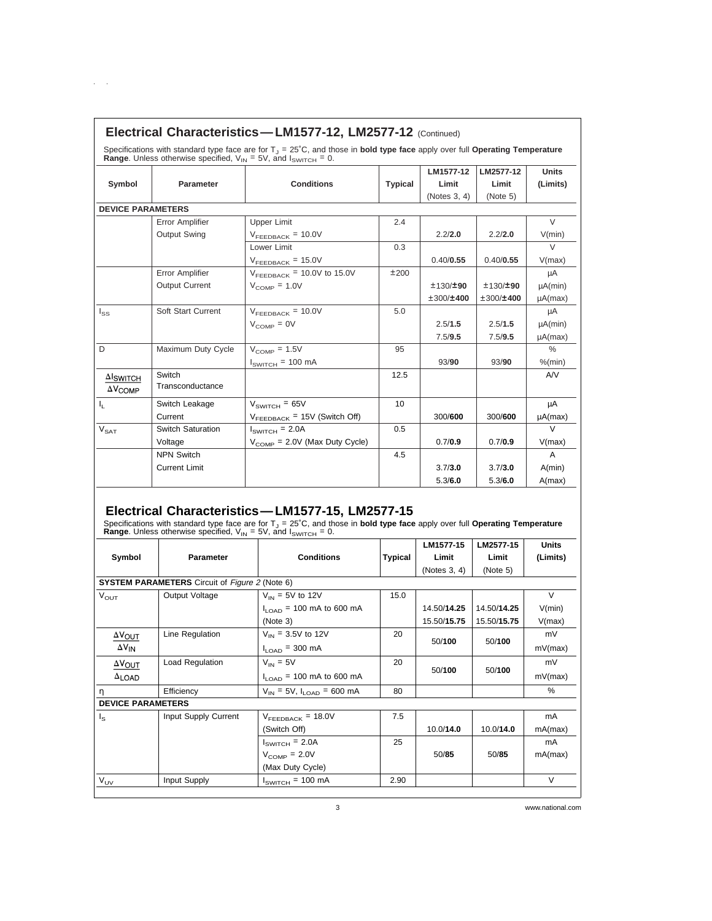| Electrical Characteristics - LM1577-12, LM2577-12 (Continued) |                        |                                                                                                                                                                                                                                         |                |              |           |               |
|---------------------------------------------------------------|------------------------|-----------------------------------------------------------------------------------------------------------------------------------------------------------------------------------------------------------------------------------------|----------------|--------------|-----------|---------------|
|                                                               |                        | Specifications with standard type face are for $T_A = 25^\circ C$ , and those in <b>bold type face</b> apply over full <b>Operating Temperature</b><br><b>Range.</b> Unless otherwise specified, $V_{IN} = 5V$ , and $I_{SWITCH} = 0$ . |                |              |           |               |
|                                                               |                        |                                                                                                                                                                                                                                         |                | LM1577-12    | LM2577-12 | <b>Units</b>  |
| Symbol                                                        | Parameter              | <b>Conditions</b>                                                                                                                                                                                                                       | <b>Typical</b> | Limit        | Limit     | (Limits)      |
|                                                               |                        |                                                                                                                                                                                                                                         |                | (Notes 3, 4) | (Note 5)  |               |
| <b>DEVICE PARAMETERS</b>                                      |                        |                                                                                                                                                                                                                                         |                |              |           |               |
|                                                               | Error Amplifier        | <b>Upper Limit</b>                                                                                                                                                                                                                      | 2.4            |              |           | $\vee$        |
|                                                               | <b>Output Swing</b>    | $V_{\text{FFDBACK}}$ = 10.0V                                                                                                                                                                                                            |                | 2.2/2.0      | 2.2/2.0   | V(min)        |
|                                                               |                        | Lower Limit                                                                                                                                                                                                                             | 0.3            |              |           | $\vee$        |
|                                                               |                        | $V_{\text{FEDBACK}}$ = 15.0V                                                                                                                                                                                                            |                | 0.40/0.55    | 0.40/0.55 | V(max)        |
|                                                               | <b>Error Amplifier</b> | $V_{\text{FEEBBACK}}$ = 10.0V to 15.0V                                                                                                                                                                                                  | ±200           |              |           | μA            |
|                                                               | <b>Output Current</b>  | $V_{\text{COMP}} = 1.0V$                                                                                                                                                                                                                |                | ±130/±90     | ±130/±90  | $\mu A$ (min) |
|                                                               |                        |                                                                                                                                                                                                                                         |                | ±300/±400    | ±300/±400 | $\mu A(max)$  |
| $I_{SS}$                                                      | Soft Start Current     | $V_{\text{FFDBACK}}$ = 10.0V                                                                                                                                                                                                            | 5.0            |              |           | μA            |
|                                                               |                        | $V_{\text{COMP}} = 0V$                                                                                                                                                                                                                  |                | 2.5/1.5      | 2.5/1.5   | $\mu A$ (min) |
|                                                               |                        |                                                                                                                                                                                                                                         |                | 7.5/9.5      | 7.5/9.5   | $\mu A(max)$  |
| D                                                             | Maximum Duty Cycle     | $V_{\text{COMP}} = 1.5V$                                                                                                                                                                                                                | 95             |              |           | $\%$          |
|                                                               |                        | $I_{SWITCH}$ = 100 mA                                                                                                                                                                                                                   |                | 93/90        | 93/90     | $%$ (min)     |
| <b>Alswitch</b>                                               | Switch                 |                                                                                                                                                                                                                                         | 12.5           |              |           | AV            |
| $\Delta V_{\rm COMP}$                                         | Transconductance       |                                                                                                                                                                                                                                         |                |              |           |               |
| Ч.                                                            | Switch Leakage         | $V_{SWITCH}$ = 65V                                                                                                                                                                                                                      | 10             |              |           | μA            |
|                                                               | Current                | $V_{\text{FEDBACK}}$ = 15V (Switch Off)                                                                                                                                                                                                 |                | 300/600      | 300/600   | $\mu A(max)$  |
| $\mathsf{V}_{\mathsf{SAT}}$                                   | Switch Saturation      | $I_{SWITCH}$ = 2.0A                                                                                                                                                                                                                     | 0.5            |              |           | $\vee$        |
|                                                               | Voltage                | $V_{\text{COMP}}$ = 2.0V (Max Duty Cycle)                                                                                                                                                                                               |                | 0.7/0.9      | 0.7/0.9   | V(max)        |
|                                                               | <b>NPN Switch</b>      |                                                                                                                                                                                                                                         | 4.5            |              |           | $\mathsf{A}$  |
|                                                               | <b>Current Limit</b>   |                                                                                                                                                                                                                                         |                | 3.7/3.0      | 3.7/3.0   | A(min)        |
|                                                               |                        |                                                                                                                                                                                                                                         |                | 5.3/6.0      | 5.3/6.0   | A(max)        |

### **Electrical Characteristics— LM1577-15, LM2577-15**

 $\mathcal{L}^{\text{max}}$ 

Specifications with standard type face are for T<sub>J</sub> = 25˚C, and those in **bold type face** apply over full **Operating Temperature**<br>**Range**. Unless otherwise specified, V<sub>IN</sub> = 5V, and I<sub>SWITCH</sub> = 0.

|                          |                                                              |                                        |         | LM1577-15        | LM2577-15   | <b>Units</b> |
|--------------------------|--------------------------------------------------------------|----------------------------------------|---------|------------------|-------------|--------------|
| Symbol                   | <b>Parameter</b>                                             | <b>Conditions</b>                      | Typical | Limit            | Limit       | (Limits)     |
|                          |                                                              |                                        |         | (Notes $3, 4$ )  | (Note 5)    |              |
|                          | <b>SYSTEM PARAMETERS</b> Circuit of <i>Figure 2</i> (Note 6) |                                        |         |                  |             |              |
| $V_{\text{OUT}}$         | Output Voltage                                               | $V_{IN}$ = 5V to 12V                   | 15.0    |                  |             | $\vee$       |
|                          |                                                              | $I_{1 \text{ OAD}}$ = 100 mA to 600 mA |         | 14.50/14.25      | 14.50/14.25 | V(min)       |
|                          |                                                              | (Note 3)                               |         | 15.50/15.75      | 15.50/15.75 | V(max)       |
| $\Delta V_{\text{OUT}}$  | Line Regulation                                              | $V_{IN}$ = 3.5V to 12V                 | 20      | 50/100<br>50/100 |             | mV           |
| $\Delta V_{IN}$          |                                                              | $I_{LOAD}$ = 300 mA                    |         |                  |             | mV(max)      |
| $\Delta V_{\text{OUT}}$  | Load Regulation                                              | $V_{IN} = 5V$                          | 20      |                  |             | mV           |
| $\Delta$ LOAD            |                                                              | $I_{1 \text{ OAD}}$ = 100 mA to 600 mA |         | 50/100<br>50/100 |             | mV(max)      |
| η                        | Efficiency                                                   | $V_{IN}$ = 5V, $I_{I OAD}$ = 600 mA    | 80      |                  |             | $\%$         |
| <b>DEVICE PARAMETERS</b> |                                                              |                                        |         |                  |             |              |
| $I_{\rm S}$              | Input Supply Current                                         | $V_{\text{FEEBBACK}}$ = 18.0V          | 7.5     |                  |             | mA           |
|                          |                                                              | (Switch Off)                           |         | 10.0/14.0        | 10.0/14.0   | mA(max)      |
|                          |                                                              | $ISWITCH = 2.0A$                       | 25      |                  |             | mA           |
|                          |                                                              | $V_{\text{COMP}} = 2.0V$               |         | 50/85            | 50/85       | mA(max)      |
|                          |                                                              | (Max Duty Cycle)                       |         |                  |             |              |
| $V_{UV}$                 | Input Supply                                                 | $I_{SWITCH}$ = 100 mA                  | 2.90    |                  |             | $\vee$       |

3 www.national.com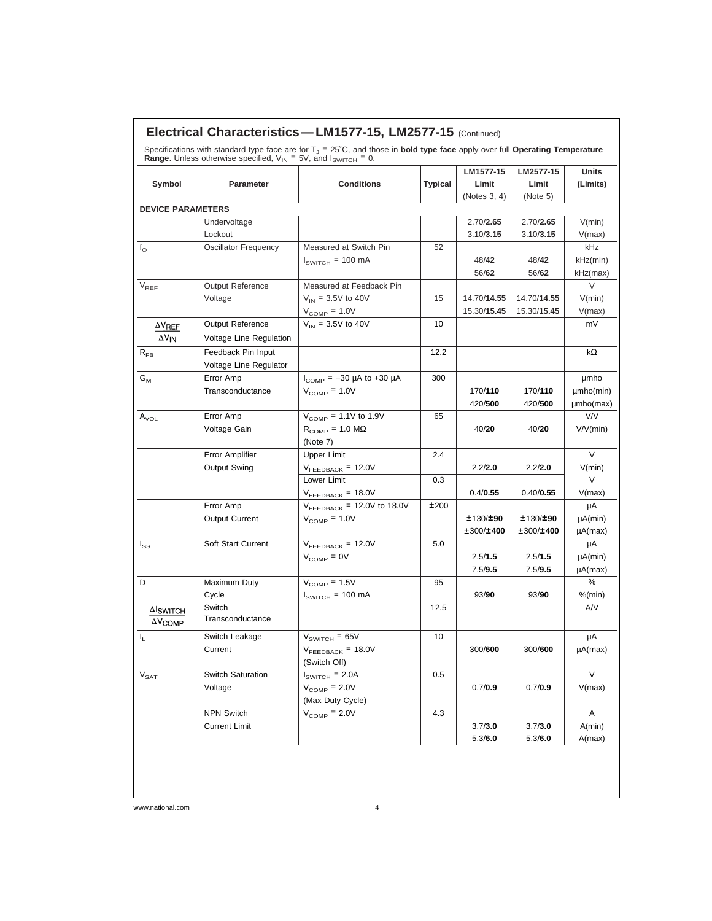|                          | Specifications with standard type face are for $T_J = 25^\circ C$ , and those in <b>bold type face</b> apply over full <b>Operating Temperature</b> Range. Unless otherwise specified, $V_{IN} = 5V$ , and $I_{SWITCH} = 0$ . |                                       |                | LM1577-15       | LM2577-15   | <b>Units</b>  |
|--------------------------|-------------------------------------------------------------------------------------------------------------------------------------------------------------------------------------------------------------------------------|---------------------------------------|----------------|-----------------|-------------|---------------|
| Symbol                   | Parameter                                                                                                                                                                                                                     | <b>Conditions</b>                     | <b>Typical</b> | Limit           | Limit       | (Limits)      |
|                          |                                                                                                                                                                                                                               |                                       |                | (Notes $3, 4$ ) | (Note 5)    |               |
| <b>DEVICE PARAMETERS</b> |                                                                                                                                                                                                                               |                                       |                |                 |             |               |
|                          | Undervoltage                                                                                                                                                                                                                  |                                       |                | 2.70/2.65       | 2.70/2.65   | V(min)        |
|                          | Lockout                                                                                                                                                                                                                       |                                       |                | 3.10/3.15       | 3.10/3.15   | V(max)        |
| $f_{\odot}$              | <b>Oscillator Frequency</b>                                                                                                                                                                                                   | Measured at Switch Pin                | 52             |                 |             | kHz           |
|                          |                                                                                                                                                                                                                               | $ISWITCH = 100 mA$                    |                | 48/42           | 48/42       | kHz(min)      |
|                          |                                                                                                                                                                                                                               |                                       |                | 56/62           | 56/62       | kHz(max)      |
| $V_{REF}$                | <b>Output Reference</b>                                                                                                                                                                                                       | Measured at Feedback Pin              |                |                 |             | $\vee$        |
|                          | Voltage                                                                                                                                                                                                                       | $V_{IN}$ = 3.5V to 40V                | 15             | 14.70/14.55     | 14.70/14.55 | V(min)        |
|                          |                                                                                                                                                                                                                               | $V_{\text{COMP}} = 1.0V$              |                | 15.30/15.45     | 15.30/15.45 | V(max)        |
| $\Delta V_{REF}$         | Output Reference                                                                                                                                                                                                              | $V_{IN}$ = 3.5V to 40V                | 10             |                 |             | mV            |
| $\Delta V_{IN}$          | Voltage Line Regulation                                                                                                                                                                                                       |                                       |                |                 |             |               |
| $R_{FB}$                 | Feedback Pin Input                                                                                                                                                                                                            |                                       | 12.2           |                 |             | kΩ            |
|                          | Voltage Line Regulator                                                                                                                                                                                                        |                                       |                |                 |             |               |
| $G_{M}$                  | Error Amp                                                                                                                                                                                                                     | $I_{\text{COMP}}$ = -30 µA to +30 µA  | 300            |                 |             | umho          |
|                          | Transconductance                                                                                                                                                                                                              | $V_{\text{COMP}} = 1.0V$              |                | 170/110         | 170/110     | umho(min)     |
|                          |                                                                                                                                                                                                                               |                                       |                | 420/500         | 420/500     | µmho(max)     |
| $A_{\text{VOL}}$         | Error Amp                                                                                                                                                                                                                     | $V_{\text{COMP}}$ = 1.1V to 1.9V      | 65             |                 |             | <b>V/V</b>    |
|                          | Voltage Gain                                                                                                                                                                                                                  | $R_{COMP} = 1.0 M\Omega$              |                | 40/20           | 40/20       | V/V(min)      |
|                          |                                                                                                                                                                                                                               | (Note 7)                              |                |                 |             |               |
|                          | <b>Error Amplifier</b>                                                                                                                                                                                                        | <b>Upper Limit</b>                    | 2.4            |                 |             | $\vee$        |
|                          | Output Swing                                                                                                                                                                                                                  | $V_{\text{FEDBACK}}$ = 12.0V          |                | 2.2/2.0         | 2.2/2.0     | V(min)        |
|                          |                                                                                                                                                                                                                               | Lower Limit                           | 0.3            |                 |             | V             |
|                          |                                                                                                                                                                                                                               | $V_{\text{FEDBACK}}$ = 18.0V          |                | 0.4/0.55        | 0.40/0.55   | V(max)        |
|                          | Error Amp                                                                                                                                                                                                                     | $V_{\text{FEDBACK}}$ = 12.0V to 18.0V | ±200           |                 |             | μA            |
|                          | <b>Output Current</b>                                                                                                                                                                                                         | $V_{\text{COMP}} = 1.0V$              |                | ±130/±90        | ±130/±90    | $\mu A$ (min) |
|                          |                                                                                                                                                                                                                               |                                       |                | ±300/±400       | ±300/±400   | $\mu$ A(max)  |
| $I_{SS}$                 | Soft Start Current                                                                                                                                                                                                            | $V_{\text{FEDBACK}}$ = 12.0V          | 5.0            |                 |             | μA            |
|                          |                                                                                                                                                                                                                               | $V_{\text{COMP}} = 0V$                |                | 2.5/1.5         | 2.5/1.5     | $\mu A$ (min) |
|                          |                                                                                                                                                                                                                               |                                       |                | 7.5/9.5         | 7.5/9.5     | $\mu$ A(max)  |
| D                        | Maximum Duty                                                                                                                                                                                                                  | $V_{\text{COMP}} = 1.5V$              | 95             |                 |             | %             |
|                          | Cycle                                                                                                                                                                                                                         | $ISWITCH = 100 mA$                    |                | 93/90           | 93/90       | $%$ (min)     |
| <b>AISWITCH</b>          | Switch<br>Transconductance                                                                                                                                                                                                    |                                       | 12.5           |                 |             | A/V           |
| $\Delta V_{\rm COMP}$    |                                                                                                                                                                                                                               |                                       |                |                 |             |               |
| IL.                      | Switch Leakage                                                                                                                                                                                                                | $VSWITCH = 65V$                       | 10             |                 |             | μA            |
|                          | Current                                                                                                                                                                                                                       | $V_{\text{FEEDBACK}}$ = 18.0V         |                | 300/600         | 300/600     | $\mu A(max)$  |
|                          |                                                                                                                                                                                                                               | (Switch Off)                          |                |                 |             |               |
| $V_{\text{SAT}}$         | Switch Saturation                                                                                                                                                                                                             | $ISWITCH = 2.0A$                      | 0.5            |                 |             | $\vee$        |
|                          | Voltage                                                                                                                                                                                                                       | $V_{\text{COMP}} = 2.0V$              |                | 0.7/0.9         | 0.7/0.9     | V(max)        |
|                          |                                                                                                                                                                                                                               | (Max Duty Cycle)                      |                |                 |             |               |
|                          | <b>NPN Switch</b>                                                                                                                                                                                                             | $V_{\text{COMP}} = 2.0V$              | 4.3            |                 |             | A             |
|                          | <b>Current Limit</b>                                                                                                                                                                                                          |                                       |                | 3.7/3.0         | 3.7/3.0     | A(min)        |
|                          |                                                                                                                                                                                                                               |                                       |                | 5.3/6.0         | 5.3/6.0     | A(max)        |

 $\alpha = \alpha$  .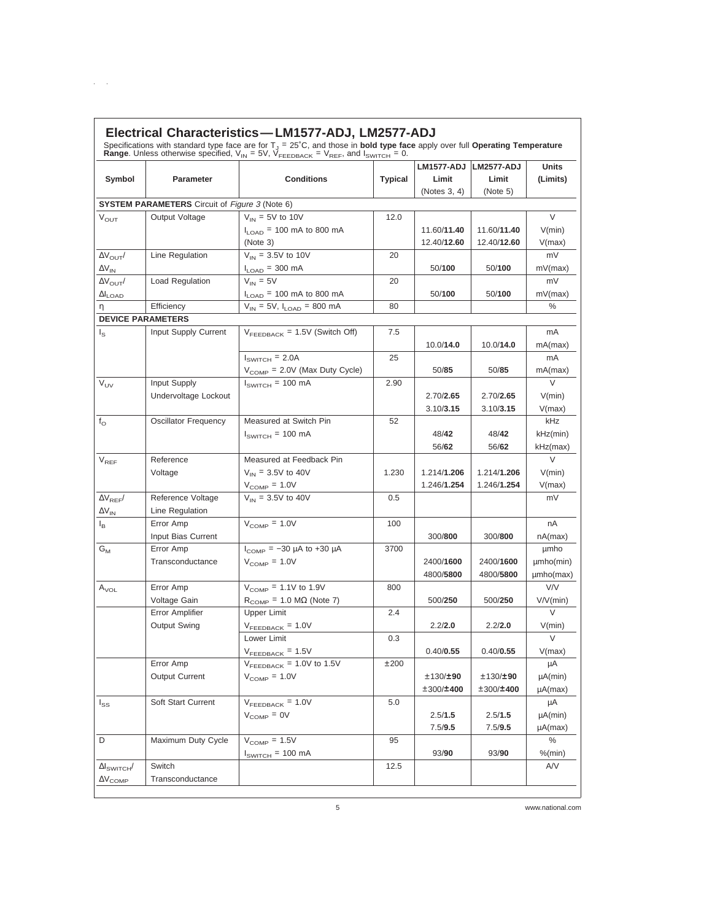|                                       |                                                              | Specifications with standard type face are for $T_J = 25^{\circ}C$ , and those in <b>bold type face</b> apply over full <b>Operating Temperature</b> Range. Unless otherwise specified, $V_{IN} = 5V$ , $V_{FEEDBACK} = V_{REF}$ , and $I_{SWITCH} = 0$ . |                | LM1577-ADJ            | <b>LM2577-ADJ</b> | Units              |
|---------------------------------------|--------------------------------------------------------------|-----------------------------------------------------------------------------------------------------------------------------------------------------------------------------------------------------------------------------------------------------------|----------------|-----------------------|-------------------|--------------------|
| Symbol                                | <b>Parameter</b>                                             | <b>Conditions</b>                                                                                                                                                                                                                                         | <b>Typical</b> | Limit<br>(Notes 3, 4) | Limit<br>(Note 5) | (Limits)           |
|                                       | <b>SYSTEM PARAMETERS</b> Circuit of <i>Figure 3</i> (Note 6) |                                                                                                                                                                                                                                                           |                |                       |                   |                    |
| $V_{OUT}$                             | Output Voltage                                               | $V_{IN}$ = 5V to 10V                                                                                                                                                                                                                                      | 12.0           |                       |                   | $\vee$             |
|                                       |                                                              | $I_{1 \text{ OAD}}$ = 100 mA to 800 mA                                                                                                                                                                                                                    |                | 11.60/11.40           | 11.60/11.40       | V(min)             |
|                                       |                                                              | (Note 3)                                                                                                                                                                                                                                                  |                | 12.40/12.60           | 12.40/12.60       | V(max)             |
| $\Delta V_{\text{OUT}}/$              | Line Regulation                                              | $V_{IN}$ = 3.5V to 10V                                                                                                                                                                                                                                    | 20             |                       |                   | mV                 |
| $\Delta V_{IN}$                       |                                                              | $I_{1 \text{ OAD}}$ = 300 mA                                                                                                                                                                                                                              |                | 50/100                | 50/100            | mV(max)            |
| $\Delta V_{\text{OUT}}/$              | Load Regulation                                              | $V_{IN} = 5V$                                                                                                                                                                                                                                             | 20             |                       |                   | mV                 |
| $\Delta I_{\text{LOAD}}$              |                                                              | $I_{\text{LOAD}}$ = 100 mA to 800 mA                                                                                                                                                                                                                      |                | 50/100                | 50/100            | mV(max)            |
| η                                     | Efficiency                                                   | $V_{IN}$ = 5V, $I_{LOAD}$ = 800 mA                                                                                                                                                                                                                        | 80             |                       |                   | ℅                  |
|                                       | <b>DEVICE PARAMETERS</b>                                     |                                                                                                                                                                                                                                                           |                |                       |                   |                    |
| $I_{\rm S}$                           | Input Supply Current                                         | $V_{\text{FEEDBACK}}$ = 1.5V (Switch Off)                                                                                                                                                                                                                 | 7.5            |                       |                   | mA                 |
|                                       |                                                              |                                                                                                                                                                                                                                                           |                | 10.0/14.0             | 10.0/14.0         | mA(max)            |
|                                       |                                                              | $I_{SWITCH}$ = 2.0A                                                                                                                                                                                                                                       | 25             |                       |                   | mA                 |
|                                       |                                                              | $V_{\text{COMP}}$ = 2.0V (Max Duty Cycle)                                                                                                                                                                                                                 |                | 50/85                 | 50/85             | mA(max)            |
| $V_{UV}$                              | Input Supply                                                 | $ISWITCH = 100 mA$                                                                                                                                                                                                                                        | 2.90           |                       |                   | $\vee$             |
|                                       | Undervoltage Lockout                                         |                                                                                                                                                                                                                                                           |                | 2.70/2.65             | 2.70/2.65         | V(min)             |
|                                       |                                                              |                                                                                                                                                                                                                                                           |                | 3.10/3.15             | 3.10/3.15         | V(max)             |
| $f_{\odot}$                           | <b>Oscillator Frequency</b>                                  | Measured at Switch Pin                                                                                                                                                                                                                                    | 52             |                       |                   | kHz                |
|                                       |                                                              | $ISWITCH = 100 mA$                                                                                                                                                                                                                                        |                | 48/42                 | 48/42             | kHz(min)           |
|                                       |                                                              |                                                                                                                                                                                                                                                           |                | 56/62                 | 56/62             | kHz(max)           |
| $\mathsf{V}_{\mathsf{REF}}$           | Reference                                                    | Measured at Feedback Pin                                                                                                                                                                                                                                  |                |                       |                   | $\vee$             |
|                                       | Voltage                                                      | $V_{IN}$ = 3.5V to 40V                                                                                                                                                                                                                                    | 1.230          | 1.214/1.206           | 1.214/1.206       | V(min)             |
|                                       |                                                              | $V_{\text{COMP}} = 1.0V$                                                                                                                                                                                                                                  |                | 1.246/1.254           | 1.246/1.254       | V(max)             |
| $\Delta V_{REF}$                      | Reference Voltage                                            | $V_{IN}$ = 3.5V to 40V                                                                                                                                                                                                                                    | 0.5            |                       |                   | mV                 |
| $\Delta V_{IN}$                       | Line Regulation                                              |                                                                                                                                                                                                                                                           |                |                       |                   |                    |
| l <sub>B</sub>                        | Error Amp                                                    | $V_{\text{COMP}} = 1.0V$                                                                                                                                                                                                                                  | 100            |                       |                   | nA                 |
|                                       | Input Bias Current                                           |                                                                                                                                                                                                                                                           |                | 300/800               | 300/800           | nA(max)            |
| Gм                                    | Error Amp                                                    | $I_{\text{COMP}} = -30 \mu A$ to +30 $\mu A$                                                                                                                                                                                                              | 3700           |                       |                   | µmho               |
|                                       | Transconductance                                             | $V_{\text{COMP}} = 1.0V$                                                                                                                                                                                                                                  |                | 2400/1600             | 2400/1600         | µmbo(min)          |
|                                       | Error Amp                                                    | $V_{\text{COMP}} = 1.1V$ to 1.9V                                                                                                                                                                                                                          | 800            | 4800/5800             | 4800/5800         | umho(max)<br>V/V   |
| $A_{\text{VOL}}$                      |                                                              |                                                                                                                                                                                                                                                           |                |                       |                   |                    |
|                                       | Voltage Gain<br><b>Error Amplifier</b>                       | $R_{\text{COMP}}$ = 1.0 M $\Omega$ (Note 7)<br><b>Upper Limit</b>                                                                                                                                                                                         | 2.4            | 500/250               | 500/250           | V/V(min)<br>$\vee$ |
|                                       | Output Swing                                                 | $V_{\text{FEEDBACK}} = 1.0V$                                                                                                                                                                                                                              |                | 2.2/2.0               | 2.2/2.0           | V(min)             |
|                                       |                                                              | Lower Limit                                                                                                                                                                                                                                               | 0.3            |                       |                   | V                  |
|                                       |                                                              | $V_{\text{FEEDBACK}}$ = 1.5V                                                                                                                                                                                                                              |                | 0.40/0.55             | 0.40/0.55         | V(max)             |
|                                       | Error Amp                                                    | $V_{\text{FEEDBACK}}$ = 1.0V to 1.5V                                                                                                                                                                                                                      | ±200           |                       |                   | μA                 |
|                                       | Output Current                                               | $V_{\text{COMP}} = 1.0V$                                                                                                                                                                                                                                  |                | ±130/±90              | ±130/±90          | $\mu A$ (min)      |
|                                       |                                                              |                                                                                                                                                                                                                                                           |                | ±300/±400             | ±300/±400         | $\mu A(max)$       |
| $I_{SS}$                              | Soft Start Current                                           | $V_{\text{FEDBACK}} = 1.0V$                                                                                                                                                                                                                               | 5.0            |                       |                   | μA                 |
|                                       |                                                              | $V_{\text{COMP}} = 0V$                                                                                                                                                                                                                                    |                | 2.5/1.5               | 2.5/1.5           | $\mu A$ (min)      |
|                                       |                                                              |                                                                                                                                                                                                                                                           |                | 7.5/9.5               | 7.5/9.5           | µA(max)            |
| D                                     | Maximum Duty Cycle                                           | $V_{\text{COMP}} = 1.5V$                                                                                                                                                                                                                                  | 95             |                       |                   | %                  |
|                                       |                                                              | $ISWITCH = 100 mA$                                                                                                                                                                                                                                        |                | 93/90                 | 93/90             | $%$ (min)          |
| $\Delta\mathsf{I}_{\mathsf{SWITCH}}/$ | Switch                                                       |                                                                                                                                                                                                                                                           | 12.5           |                       |                   | A/V                |
|                                       |                                                              |                                                                                                                                                                                                                                                           |                |                       |                   |                    |

 $\mathcal{L}^{\text{max}}(\mathcal{L}^{\text{max}})$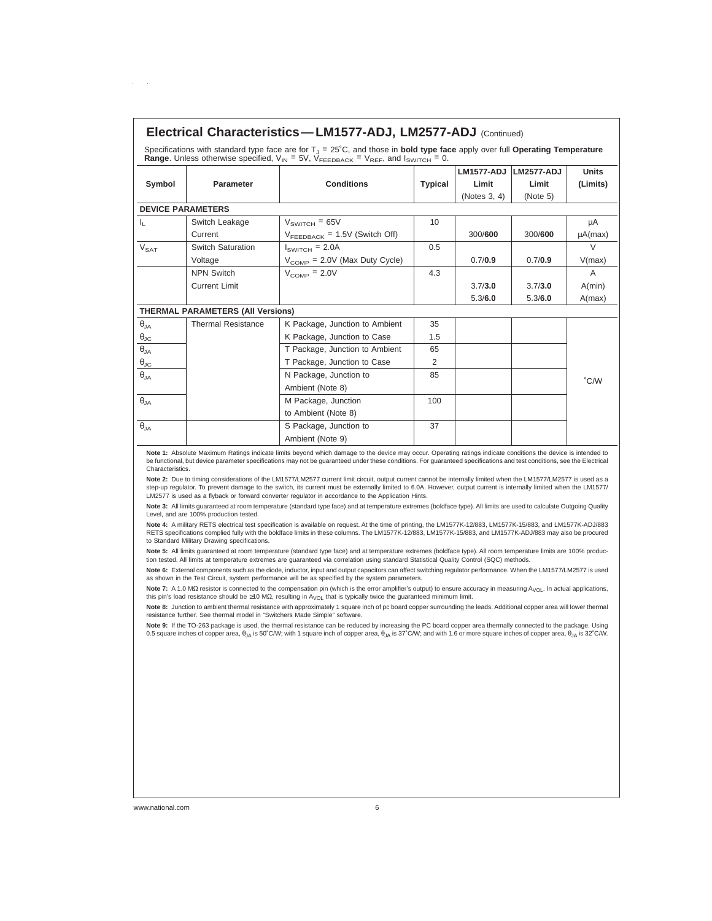| Symbol                 | <b>Parameter</b>                                                                                                                                                     | <b>Conditions</b>                                                                                                                                                                                                                                                                                                                                                                                                                                                                                                                                                                                                                                                                                                                                                                                                                                                                                                                                                                                                                                                                                                                                                                                                                                                                                                                                                                                                                                                                                                                                                                                           | Specifications with standard type face are for $T_J = 25^{\circ}C$ , and those in <b>bold type face</b> apply over full <b>Operating Temperature</b> Range. Unless otherwise specified, $V_{IN} = 5V$ , $V_{FEEDBACK} = V_{REF}$ , and $I_{SWITCH} = 0$ .<br>Typical | <b>LM1577-ADJ</b><br>Limit<br>(Notes 3, 4) | <b>LM2577-ADJ</b><br>Limit<br>(Note 5) | <b>Units</b><br>(Limits) |
|------------------------|----------------------------------------------------------------------------------------------------------------------------------------------------------------------|-------------------------------------------------------------------------------------------------------------------------------------------------------------------------------------------------------------------------------------------------------------------------------------------------------------------------------------------------------------------------------------------------------------------------------------------------------------------------------------------------------------------------------------------------------------------------------------------------------------------------------------------------------------------------------------------------------------------------------------------------------------------------------------------------------------------------------------------------------------------------------------------------------------------------------------------------------------------------------------------------------------------------------------------------------------------------------------------------------------------------------------------------------------------------------------------------------------------------------------------------------------------------------------------------------------------------------------------------------------------------------------------------------------------------------------------------------------------------------------------------------------------------------------------------------------------------------------------------------------|----------------------------------------------------------------------------------------------------------------------------------------------------------------------------------------------------------------------------------------------------------------------|--------------------------------------------|----------------------------------------|--------------------------|
|                        | <b>DEVICE PARAMETERS</b>                                                                                                                                             |                                                                                                                                                                                                                                                                                                                                                                                                                                                                                                                                                                                                                                                                                                                                                                                                                                                                                                                                                                                                                                                                                                                                                                                                                                                                                                                                                                                                                                                                                                                                                                                                             |                                                                                                                                                                                                                                                                      |                                            |                                        |                          |
| Ч.                     | Switch Leakage                                                                                                                                                       | $V_{SWITCH}$ = 65V                                                                                                                                                                                                                                                                                                                                                                                                                                                                                                                                                                                                                                                                                                                                                                                                                                                                                                                                                                                                                                                                                                                                                                                                                                                                                                                                                                                                                                                                                                                                                                                          | 10                                                                                                                                                                                                                                                                   |                                            |                                        | μA                       |
|                        | Current                                                                                                                                                              | $V_{\text{FEEDBACK}}$ = 1.5V (Switch Off)                                                                                                                                                                                                                                                                                                                                                                                                                                                                                                                                                                                                                                                                                                                                                                                                                                                                                                                                                                                                                                                                                                                                                                                                                                                                                                                                                                                                                                                                                                                                                                   |                                                                                                                                                                                                                                                                      | 300/600                                    | 300/600                                | $\mu$ A(max)             |
| $V_{\text{SAT}}$       | Switch Saturation                                                                                                                                                    | $I_{SWITCH}$ = 2.0A                                                                                                                                                                                                                                                                                                                                                                                                                                                                                                                                                                                                                                                                                                                                                                                                                                                                                                                                                                                                                                                                                                                                                                                                                                                                                                                                                                                                                                                                                                                                                                                         | 0.5                                                                                                                                                                                                                                                                  |                                            |                                        | $\vee$                   |
|                        | Voltage                                                                                                                                                              | $V_{\text{COMP}}$ = 2.0V (Max Duty Cycle)                                                                                                                                                                                                                                                                                                                                                                                                                                                                                                                                                                                                                                                                                                                                                                                                                                                                                                                                                                                                                                                                                                                                                                                                                                                                                                                                                                                                                                                                                                                                                                   |                                                                                                                                                                                                                                                                      | 0.7/0.9                                    | 0.7/0.9                                | V(max)                   |
|                        | <b>NPN Switch</b>                                                                                                                                                    | $V_{\text{COMP}} = 2.0V$                                                                                                                                                                                                                                                                                                                                                                                                                                                                                                                                                                                                                                                                                                                                                                                                                                                                                                                                                                                                                                                                                                                                                                                                                                                                                                                                                                                                                                                                                                                                                                                    | 4.3                                                                                                                                                                                                                                                                  |                                            |                                        | Α                        |
|                        | <b>Current Limit</b>                                                                                                                                                 |                                                                                                                                                                                                                                                                                                                                                                                                                                                                                                                                                                                                                                                                                                                                                                                                                                                                                                                                                                                                                                                                                                                                                                                                                                                                                                                                                                                                                                                                                                                                                                                                             |                                                                                                                                                                                                                                                                      | 3.7/3.0                                    | 3.7/3.0                                | A(min)                   |
|                        |                                                                                                                                                                      |                                                                                                                                                                                                                                                                                                                                                                                                                                                                                                                                                                                                                                                                                                                                                                                                                                                                                                                                                                                                                                                                                                                                                                                                                                                                                                                                                                                                                                                                                                                                                                                                             |                                                                                                                                                                                                                                                                      | 5.3/6.0                                    | 5.3/6.0                                | A(max)                   |
|                        | <b>THERMAL PARAMETERS (All Versions)</b>                                                                                                                             |                                                                                                                                                                                                                                                                                                                                                                                                                                                                                                                                                                                                                                                                                                                                                                                                                                                                                                                                                                                                                                                                                                                                                                                                                                                                                                                                                                                                                                                                                                                                                                                                             |                                                                                                                                                                                                                                                                      |                                            |                                        |                          |
| $\theta_{\mathsf{JA}}$ | <b>Thermal Resistance</b>                                                                                                                                            | K Package, Junction to Ambient                                                                                                                                                                                                                                                                                                                                                                                                                                                                                                                                                                                                                                                                                                                                                                                                                                                                                                                                                                                                                                                                                                                                                                                                                                                                                                                                                                                                                                                                                                                                                                              | 35                                                                                                                                                                                                                                                                   |                                            |                                        |                          |
| $\theta_{\text{JC}}$   |                                                                                                                                                                      | K Package, Junction to Case                                                                                                                                                                                                                                                                                                                                                                                                                                                                                                                                                                                                                                                                                                                                                                                                                                                                                                                                                                                                                                                                                                                                                                                                                                                                                                                                                                                                                                                                                                                                                                                 | 1.5                                                                                                                                                                                                                                                                  |                                            |                                        |                          |
| $\theta_{JA}$          |                                                                                                                                                                      | T Package, Junction to Ambient                                                                                                                                                                                                                                                                                                                                                                                                                                                                                                                                                                                                                                                                                                                                                                                                                                                                                                                                                                                                                                                                                                                                                                                                                                                                                                                                                                                                                                                                                                                                                                              | 65                                                                                                                                                                                                                                                                   |                                            |                                        |                          |
| $\theta_{\text{JC}}$   |                                                                                                                                                                      | T Package, Junction to Case                                                                                                                                                                                                                                                                                                                                                                                                                                                                                                                                                                                                                                                                                                                                                                                                                                                                                                                                                                                                                                                                                                                                                                                                                                                                                                                                                                                                                                                                                                                                                                                 | 2                                                                                                                                                                                                                                                                    |                                            |                                        |                          |
| $\theta_{JA}$          |                                                                                                                                                                      | N Package, Junction to                                                                                                                                                                                                                                                                                                                                                                                                                                                                                                                                                                                                                                                                                                                                                                                                                                                                                                                                                                                                                                                                                                                                                                                                                                                                                                                                                                                                                                                                                                                                                                                      | 85                                                                                                                                                                                                                                                                   |                                            |                                        |                          |
|                        |                                                                                                                                                                      | Ambient (Note 8)                                                                                                                                                                                                                                                                                                                                                                                                                                                                                                                                                                                                                                                                                                                                                                                                                                                                                                                                                                                                                                                                                                                                                                                                                                                                                                                                                                                                                                                                                                                                                                                            |                                                                                                                                                                                                                                                                      |                                            |                                        | °C∕W                     |
| $\theta_{JA}$          |                                                                                                                                                                      | M Package, Junction                                                                                                                                                                                                                                                                                                                                                                                                                                                                                                                                                                                                                                                                                                                                                                                                                                                                                                                                                                                                                                                                                                                                                                                                                                                                                                                                                                                                                                                                                                                                                                                         | 100                                                                                                                                                                                                                                                                  |                                            |                                        |                          |
|                        |                                                                                                                                                                      | to Ambient (Note 8)                                                                                                                                                                                                                                                                                                                                                                                                                                                                                                                                                                                                                                                                                                                                                                                                                                                                                                                                                                                                                                                                                                                                                                                                                                                                                                                                                                                                                                                                                                                                                                                         |                                                                                                                                                                                                                                                                      |                                            |                                        |                          |
| $\theta_{JA}$          |                                                                                                                                                                      | S Package, Junction to                                                                                                                                                                                                                                                                                                                                                                                                                                                                                                                                                                                                                                                                                                                                                                                                                                                                                                                                                                                                                                                                                                                                                                                                                                                                                                                                                                                                                                                                                                                                                                                      | 37                                                                                                                                                                                                                                                                   |                                            |                                        |                          |
|                        |                                                                                                                                                                      | Ambient (Note 9)                                                                                                                                                                                                                                                                                                                                                                                                                                                                                                                                                                                                                                                                                                                                                                                                                                                                                                                                                                                                                                                                                                                                                                                                                                                                                                                                                                                                                                                                                                                                                                                            |                                                                                                                                                                                                                                                                      |                                            |                                        |                          |
|                        | Level, and are 100% production tested.<br>to Standard Military Drawing specifications.<br>resistance further. See thermal model in "Switchers Made Simple" software. | Note 3: All limits guaranteed at room temperature (standard type face) and at temperature extremes (boldface type). All limits are used to calculate Outgoing Quality<br>Note 4: A military RETS electrical test specification is available on request. At the time of printing, the LM1577K-12/883, LM1577K-15/883, and LM1577K-ADJ/883<br>RETS specifications complied fully with the boldface limits in these columns. The LM1577K-12/883, LM1577K-15/883, and LM1577K-ADJ/883 may also be procured<br>Note 5: All limits guaranteed at room temperature (standard type face) and at temperature extremes (boldface type). All room temperature limits are 100% produc-<br>tion tested. All limits at temperature extremes are guaranteed via correlation using standard Statistical Quality Control (SQC) methods.<br>Note 6: External components such as the diode, inductor, input and output capacitors can affect switching regulator performance. When the LM1577/LM2577 is used<br>as shown in the Test Circuit, system performance will be as specified by the system parameters.<br>Note 7: A 1.0 MΩ resistor is connected to the compensation pin (which is the error amplifier's output) to ensure accuracy in measuring A <sub>VOL</sub> . In actual applications,<br>this pin's load resistance should be $\geq 10$ M $\Omega$ , resulting in A <sub>VOL</sub> that is typically twice the guaranteed minimum limit.<br>Note 8: Junction to ambient thermal resistance with approximately 1 square inch of pc board copper surrounding the leads. Additional copper area will lower thermal |                                                                                                                                                                                                                                                                      |                                            |                                        |                          |

4

 $\Delta \sim 10^{11}$ 

 $\mathbf{r}$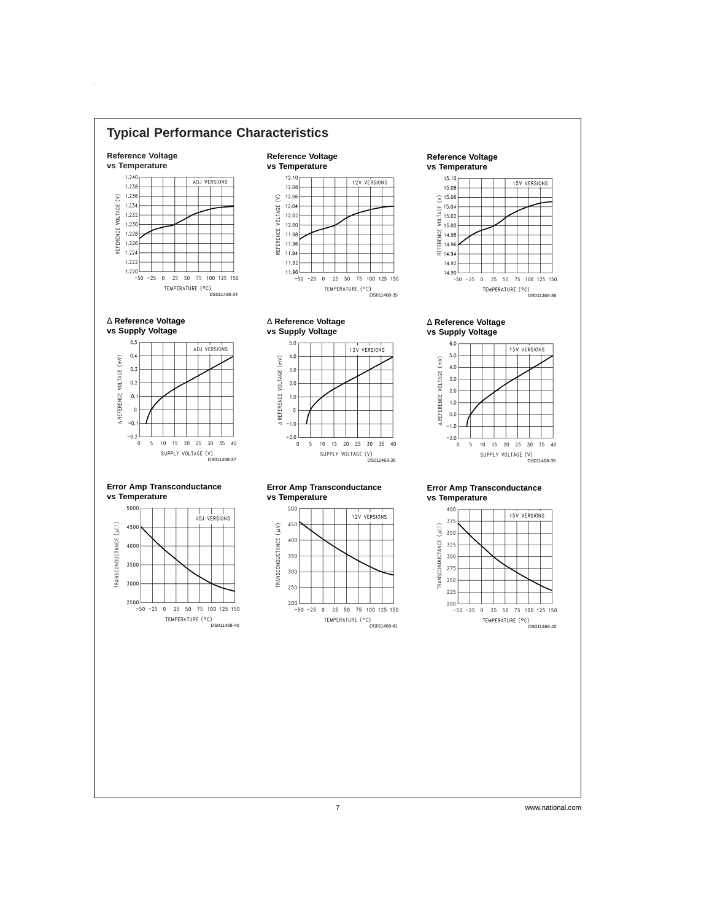

 $\hat{\mathbf{r}}$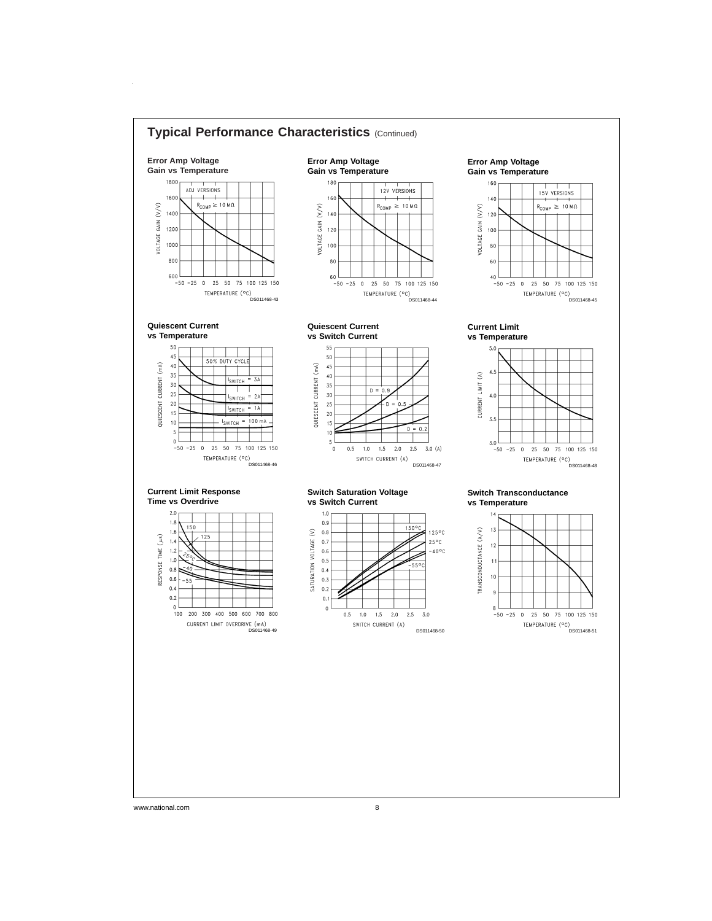

www.national.com 8

 $\hat{\mathcal{A}}$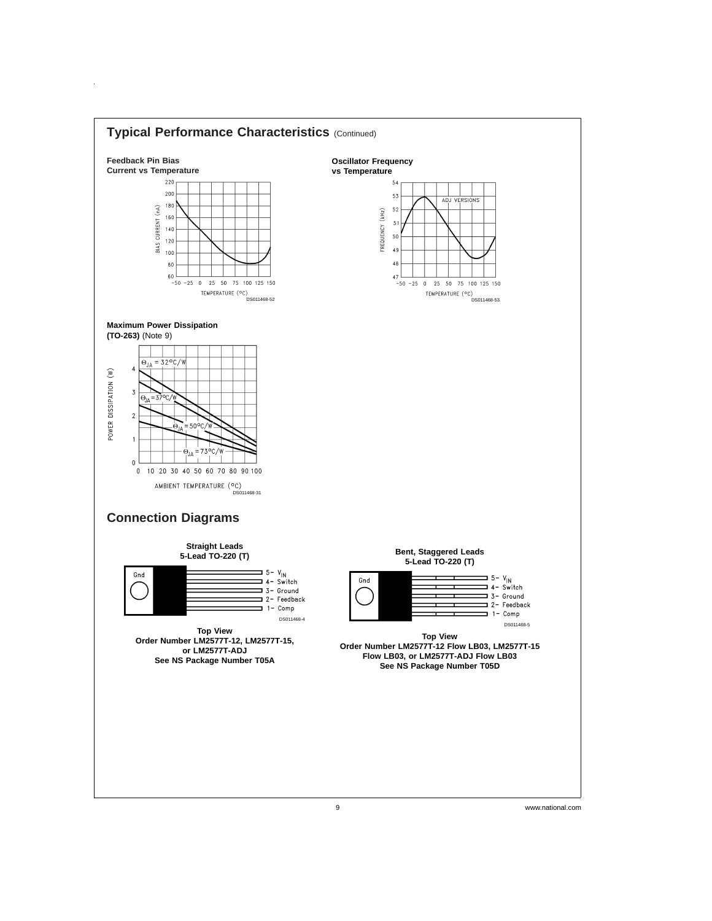

 $\hat{\boldsymbol{\theta}}$ 

9 www.national.com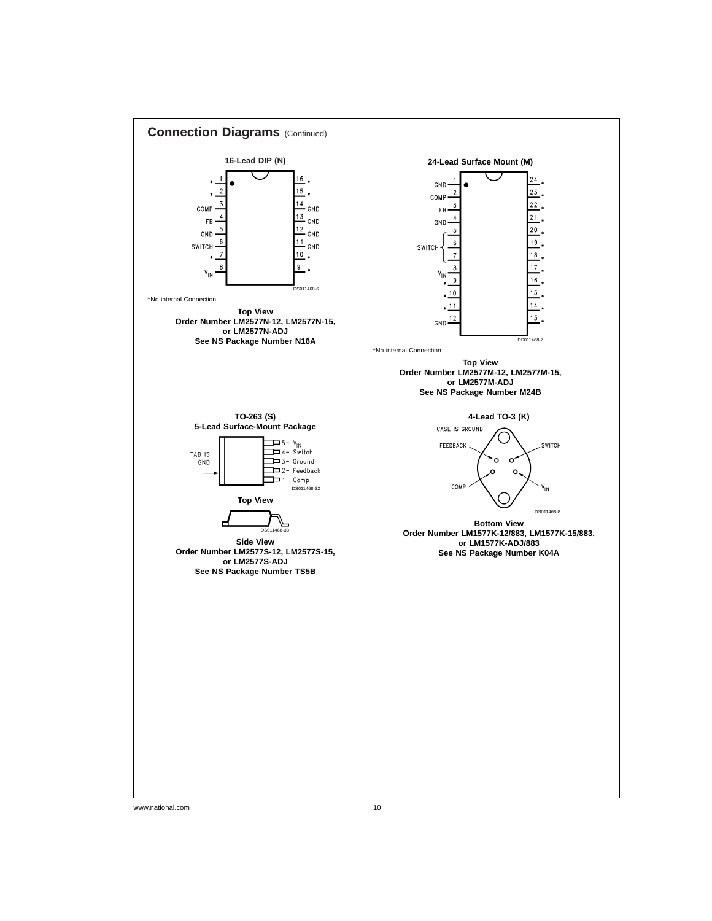

www.national.com 10

 $\hat{\boldsymbol{\beta}}$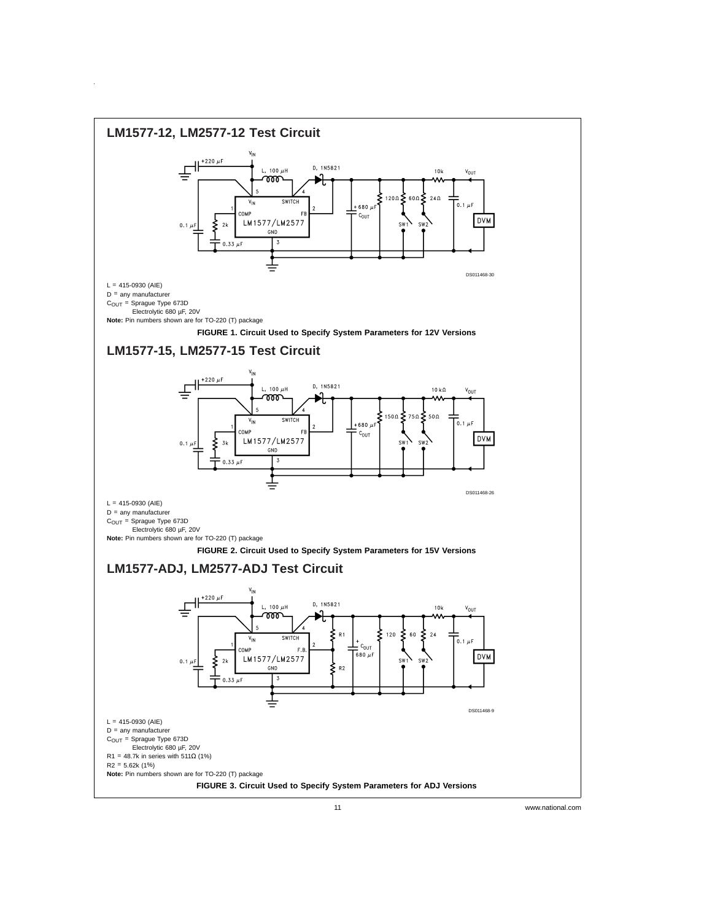

 $\hat{\mathbf{r}}$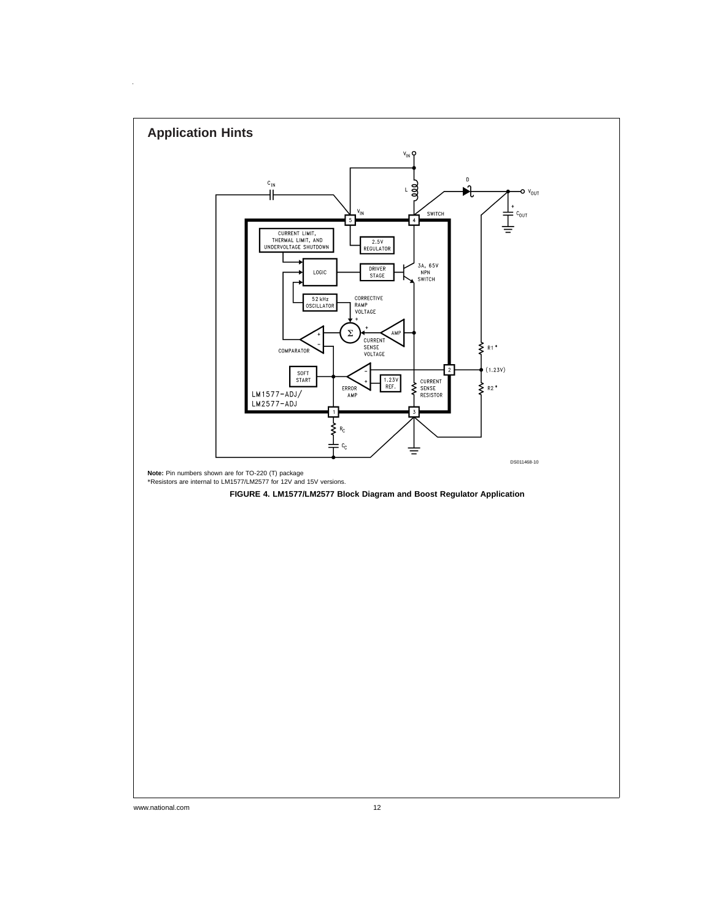

 $\hat{\mathcal{A}}$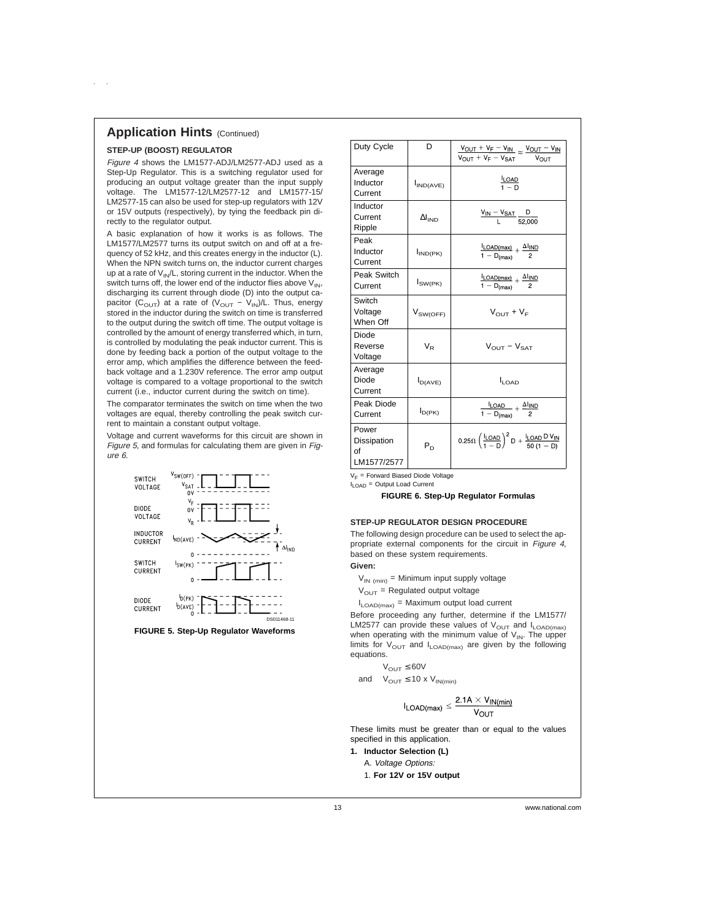#### **STEP-UP (BOOST) REGULATOR**

Figure <sup>4</sup> shows the LM1577-ADJ/LM2577-ADJ used as a Step-Up Regulator. This is a switching regulator used for producing an output voltage greater than the input supply voltage. The LM1577-12/LM2577-12 and LM1577-15/ LM2577-15 can also be used for step-up regulators with 12V or 15V outputs (respectively), by tying the feedback pin directly to the regulator output.

A basic explanation of how it works is as follows. The LM1577/LM2577 turns its output switch on and off at a frequency of 52 kHz, and this creates energy in the inductor (L). When the NPN switch turns on, the inductor current charges up at a rate of  $V_{IN}/L$ , storing current in the inductor. When the switch turns off, the lower end of the inductor flies above  $V_{IN}$ , discharging its current through diode (D) into the output capacitor (C<sub>OUT</sub>) at a rate of (V<sub>OUT</sub> – V<sub>IN</sub>)/L. Thus, energy stored in the inductor during the switch on time is transferred to the output during the switch off time. The output voltage is controlled by the amount of energy transferred which, in turn, is controlled by modulating the peak inductor current. This is done by feeding back a portion of the output voltage to the error amp, which amplifies the difference between the feedback voltage and a 1.230V reference. The error amp output voltage is compared to a voltage proportional to the switch current (i.e., inductor current during the switch on time).

The comparator terminates the switch on time when the two voltages are equal, thereby controlling the peak switch current to maintain a constant output voltage.

Voltage and current waveforms for this circuit are shown in Figure <sup>5</sup>, and formulas for calculating them are given in Figure 6.



| Duty Cycle                                | D                     | $\frac{V_{\text{OUT}} + V_{\text{F}} - V_{\text{IN}}}{V_{\text{OUT}} + V_{\text{F}} - V_{\text{SAT}}} \approx \frac{V_{\text{OUT}} - V_{\text{IN}}}{V_{\text{OUT}}}$ |
|-------------------------------------------|-----------------------|----------------------------------------------------------------------------------------------------------------------------------------------------------------------|
| Average<br>Inductor<br>Current            | I <sub>IND(AVE)</sub> | $\frac{I_{LOAD}}{1 - D}$                                                                                                                                             |
| Inductor<br>Current<br>Ripple             | $\Delta I_{IND}$      | $\frac{V_{IN} - V_{SAT}}{I} \frac{D}{52,000}$                                                                                                                        |
| Peak<br>Inductor<br>Current               | I <sub>IND(PK)</sub>  | $\frac{I_{\text{LOAD(max)}}}{1 - D_{\text{(max)}}} + \frac{\Delta I_{\text{IND}}}{2}$                                                                                |
| Peak Switch<br>Current                    | $I_{SW(PK)}$          | $\frac{I_{LOAD(max)}}{1 - D_{(max)}} + \frac{\Delta I_{IND}}{2}$                                                                                                     |
| Switch<br>Voltage<br>When Off             | V <sub>SW(OFF)</sub>  | $V_{\text{OUT}} + V_{\text{F}}$                                                                                                                                      |
| Diode<br>Reverse<br>Voltage               | $V_R$                 | $V_{\text{OUT}} - V_{\text{SAT}}$                                                                                                                                    |
| Average<br>Diode<br>Current               | $I_{D(AVE)}$          | l <sub>l OAD</sub>                                                                                                                                                   |
| Peak Diode<br>Current                     | $I_{D(PK)}$           | $\frac{I_{\text{LOAD}}}{1 - D_{\text{(max)}}} + \frac{\Delta I_{\text{IND}}}{2}$                                                                                     |
| Power<br>Dissipation<br>Ωf<br>LM1577/2577 | $P_D$                 | $0.25\Omega\left(\frac{I_{LOAD}}{1-D}\right)^2D + \frac{I_{LOAD}D V_{IN}}{50(1-D)}$                                                                                  |

 $V_F$  = Forward Biased Diode Voltage

 $I_{\text{LOAD}}$  = Output Load Current

**FIGURE 6. Step-Up Regulator Formulas**

### **STEP-UP REGULATOR DESIGN PROCEDURE**

The following design procedure can be used to select the appropriate external components for the circuit in Figure <sup>4</sup>, based on these system requirements.

### **Given:**

 $V_{IN(min)} =$  Minimum input supply voltage

 $V<sub>OUT</sub>$  = Regulated output voltage  $I_{\text{LOAD(max)}}$  = Maximum output load current

Before proceeding any further, determine if the LM1577/

LM2577 can provide these values of  $V_{\text{OUT}}$  and  $I_{\text{LOAD(max)}}$ when operating with the minimum value of  $V_{IN}$ . The upper limits for  $V_{\text{OUT}}$  and  $I_{\text{LOAD(max)}}$  are given by the following equations.

$$
V_{\text{OUT}} \leq 60V
$$

and 
$$
V_{OUT} \le 10 \times V_{IN(min)}
$$

$$
I_{LOAD(max)} \leq \frac{2.1 \text{A} \times V_{IN(min)}}{V_{OUT}}
$$

These limits must be greater than or equal to the values specified in this application.

- **1. Inductor Selection (L)**
	- A. Voltage Options: 1. **For 12V or 15V output**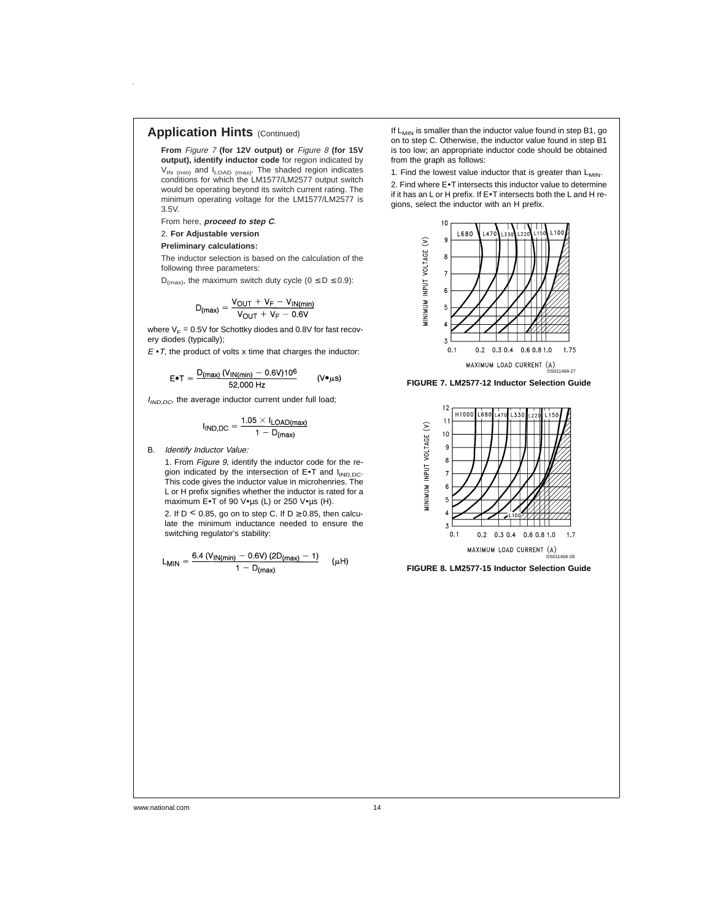**From** Figure <sup>7</sup> **(for 12V output) or** Figure 8 **(for 15V output), identify inductor code** for region indicated by V<sub>IN (min)</sub> and I<sub>LOAD (max)</sub>. The shaded region indicates conditions for which the LM1577/LM2577 output switch would be operating beyond its switch current rating. The minimum operating voltage for the LM1577/LM2577 is 3.5V.

From here, **proceed to step C**.

### 2. **For Adjustable version**

### **Preliminary calculations:**

The inductor selection is based on the calculation of the following three parameters:

 $D_{(max)}$ , the maximum switch duty cycle ( $0 \le D \le 0.9$ ):

$$
D_{(max)} = \frac{V_{OUT} + V_F - V_{IN(min)}}{V_{OUT} + V_F - 0.6V}
$$

where  $V_F = 0.5V$  for Schottky diodes and 0.8V for fast recovery diodes (typically);

 $E \cdot T$ , the product of volts x time that charges the inductor:

$$
E \bullet T = \frac{D_{(max)} (V_{IN(min)} - 0.6V)10^6}{52,000 Hz}
$$
 (V<sup>•</sup>μs)

 $I_{IND,DC}$ , the average inductor current under full load;

$$
I_{IND,DC} = \frac{1.05 \times I_{LOAD(max)}}{1 - D_{(max)}}
$$

B. Identify Inductor Value:

1. From Figure 9, identify the inductor code for the region indicated by the intersection of  $E \cdot T$  and  $I_{IND,DC}$ . This code gives the inductor value in microhenries. The L or H prefix signifies whether the inductor is rated for a maximum E•T of 90 V•µs (L) or 250 V•µs (H).

2. If  $D < 0.85$ , go on to step C. If  $D \ge 0.85$ , then calculate the minimum inductance needed to ensure the switching regulator's stability:

$$
L_{MIN} = \frac{6.4 (V_{IN(min)} - 0.6V) (2D_{(max)} - 1)}{1 - D_{(max)}} \qquad (\mu H)
$$

If  $L_{MIN}$  is smaller than the inductor value found in step B1, go on to step C. Otherwise, the inductor value found in step B1 is too low; an appropriate inductor code should be obtained from the graph as follows:

1. Find the lowest value inductor that is greater than  $L_{MIN}$ . 2. Find where E•T intersects this inductor value to determine if it has an L or H prefix. If E•T intersects both the L and H regions, select the inductor with an H prefix.







**FIGURE 8. LM2577-15 Inductor Selection Guide**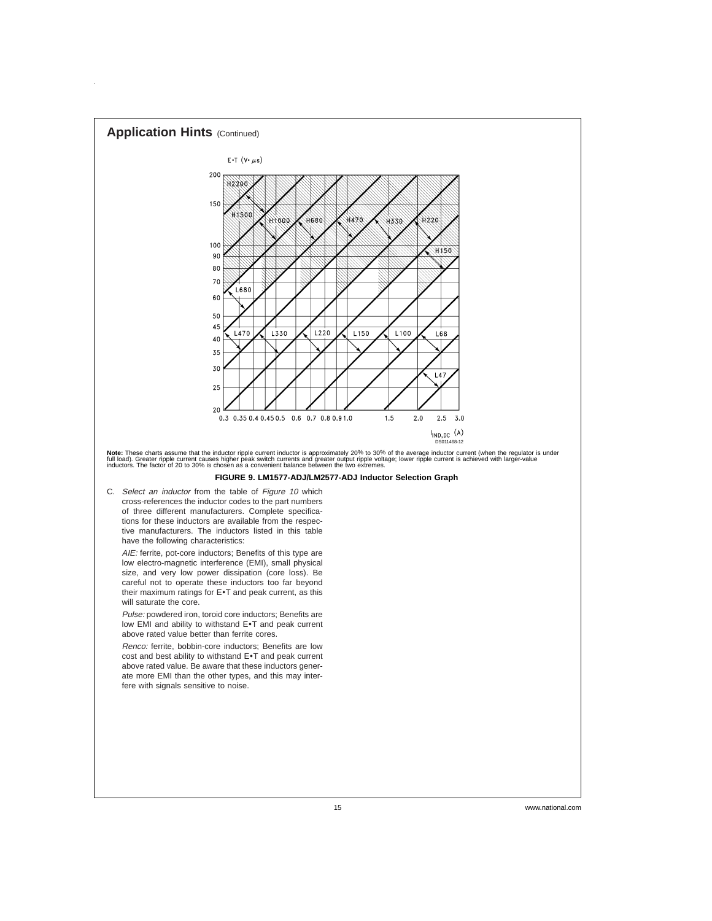

 $\bar{z}$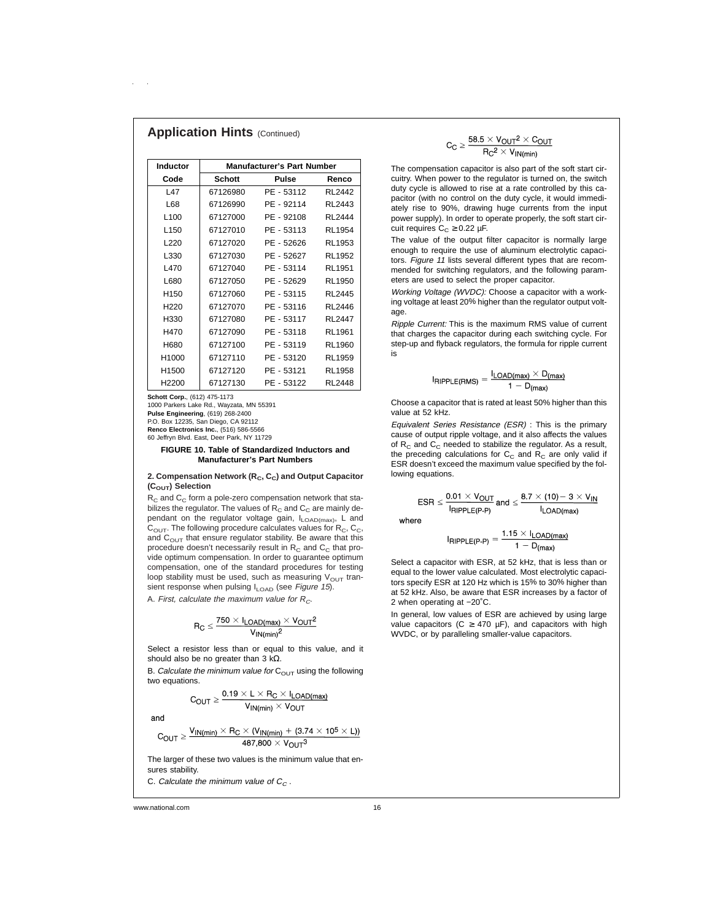| Inductor          |          | <b>Manufacturer's Part Number</b> |               |
|-------------------|----------|-----------------------------------|---------------|
| Code              | Schott   | Pulse                             | Renco         |
| l 47              | 67126980 | PE - 53112                        | RI 2442       |
| L68               | 67126990 | PF - 92114                        | RI 2443       |
| L <sub>100</sub>  | 67127000 | PE - 92108                        | <b>RL2444</b> |
| L <sub>150</sub>  | 67127010 | PF - 53113                        | RL1954        |
| L <sub>220</sub>  | 67127020 | PF - 52626                        | RL1953        |
| L330              | 67127030 | PF - 52627                        | RL1952        |
| L470              | 67127040 | PE - 53114                        | RL1951        |
| L680              | 67127050 | PE - 52629                        | RL1950        |
| H <sub>150</sub>  | 67127060 | PE - 53115                        | <b>RL2445</b> |
| H220              | 67127070 | PF - 53116                        | RI 2446       |
| H330              | 67127080 | PE - 53117                        | <b>RL2447</b> |
| H470              | 67127090 | PF - 53118                        | RI 1961       |
| H680              | 67127100 | PE - 53119                        | RL1960        |
| H <sub>1000</sub> | 67127110 | PE - 53120                        | RL1959        |
| H <sub>1500</sub> | 67127120 | PE - 53121                        | <b>RL1958</b> |
| H <sub>2200</sub> | 67127130 | PE - 53122                        | <b>RL2448</b> |

**Schott Corp.**, (612) 475-1173

1000 Parkers Lake Rd., Wayzata, MN 55391

**Pulse Engineering**, (619) 268-2400 P.O. Box 12235, San Diego, CA 92112

**Renco Electronics Inc.**, (516) 586-5566

60 Jeffryn Blvd. East, Deer Park, NY 11729

#### **FIGURE 10. Table of Standardized Inductors and Manufacturer's Part Numbers**

### 2. Compensation Network (R<sub>C</sub>, C<sub>C</sub>) and Output Capacitor (C<sub>OUT</sub>) Selection

 $R_C$  and  $C_C$  form a pole-zero compensation network that stabilizes the regulator. The values of  $R<sub>C</sub>$  and  $C<sub>C</sub>$  are mainly dependant on the regulator voltage gain, ILOAD(max), L and  $C<sub>OUT</sub>$ . The following procedure calculates values for  $R<sub>C</sub>$ ,  $C<sub>C</sub>$ , and  $C_{\text{OUT}}$  that ensure regulator stability. Be aware that this procedure doesn't necessarily result in  $R_C$  and  $C_C$  that provide optimum compensation. In order to guarantee optimum compensation, one of the standard procedures for testing loop stability must be used, such as measuring  $V_{\text{OUT}}$  transient response when pulsing  $I_{\text{LOAD}}$  (see Figure 15).

A. First, calculate the maximum value for  $R_C$ .

$$
R_C \leq \frac{750 \times I_{LOAD(max)} \times V_{OUT}^2}{V_{IN(min)}^2}
$$

Select a resistor less than or equal to this value, and it should also be no greater than 3 kΩ.

B. Calculate the minimum value for  $C_{\text{OUT}}$  using the following two equations.

$$
C_{OUT} \geq \frac{0.19 \times L \times R_C \times I_{LOAD(max)}}{V_{IN(min)} \times V_{OUT}}
$$

and

$$
C_{OUT} \geq \frac{V_{IN(min)} \times R_C \times (V_{IN(min)} + (3.74 \times 10^5 \times L))}{487,800 \times V_{OUT}^3}
$$

The larger of these two values is the minimum value that ensures stability.

C. Calculate the minimum value of  $C_C$ .

www.national.com 16

The compensation capacitor is also part of the soft start circuitry. When power to the regulator is turned on, the switch duty cycle is allowed to rise at a rate controlled by this capacitor (with no control on the duty cycle, it would immediately rise to 90%, drawing huge currents from the input power supply). In order to operate properly, the soft start circuit requires  $C_C \geq 0.22$  µF.

The value of the output filter capacitor is normally large enough to require the use of aluminum electrolytic capacitors. Figure <sup>11</sup> lists several different types that are recommended for switching regulators, and the following parameters are used to select the proper capacitor.

Working Voltage (WVDC): Choose a capacitor with a working voltage at least 20% higher than the regulator output voltage.

Ripple Current: This is the maximum RMS value of current that charges the capacitor during each switching cycle. For step-up and flyback regulators, the formula for ripple current is

$$
I_{RIPPLE(RMS)} = \frac{I_{LOAD(max)} \times D_{(max)}}{1 - D_{(max)}}
$$

Choose a capacitor that is rated at least 50% higher than this value at 52 kHz.

Equivalent Series Resistance (ESR) : This is the primary cause of output ripple voltage, and it also affects the values of  $R_C$  and  $C_C$  needed to stabilize the regulator. As a result, the preceding calculations for  $C_{\rm C}$  and  $\overline{R}_{\rm C}$  are only valid if ESR doesn't exceed the maximum value specified by the following equations.

$$
ESR \leq \frac{0.01 \times V_{OUT}}{I_{RIPPLE(P-P)}} \, \text{and} \leq \frac{8.7 \times (10) - 3 \times V_{IN}}{I_{LOAD(max)}}
$$

where

$$
RIPPLE(P-P) = \frac{1.15 \times I_{LOAD(max)}}{1 - D_{(max)}}
$$

Select a capacitor with ESR, at 52 kHz, that is less than or equal to the lower value calculated. Most electrolytic capacitors specify ESR at 120 Hz which is 15% to 30% higher than at 52 kHz. Also, be aware that ESR increases by a factor of 2 when operating at −20˚C.

In general, low values of ESR are achieved by using large value capacitors ( $C \geq 470$  µF), and capacitors with high WVDC, or by paralleling smaller-value capacitors.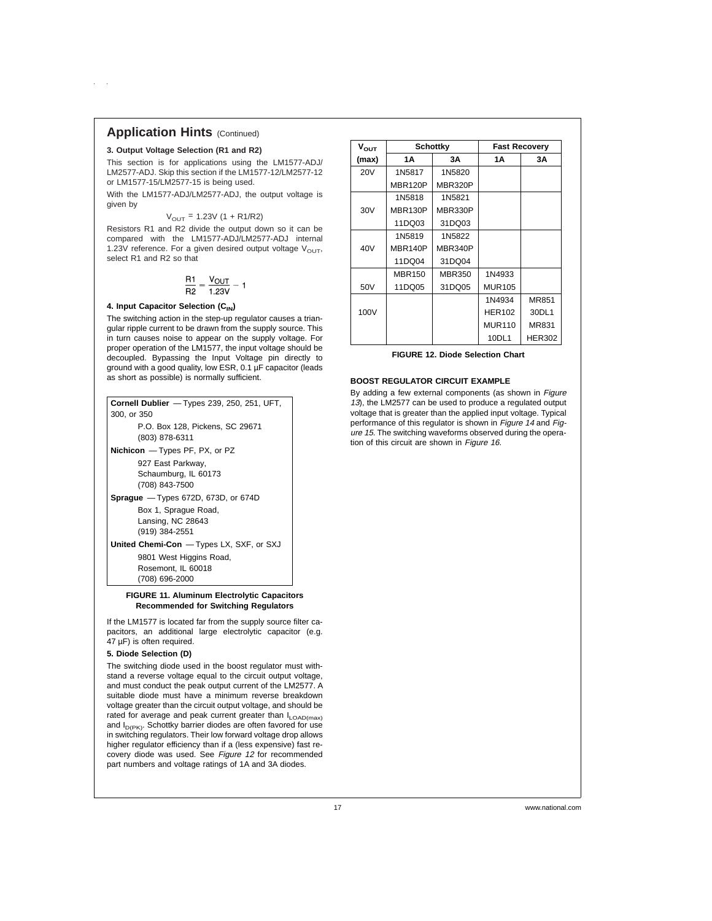$\mathcal{L}^{\text{max}}$ 

#### **3. Output Voltage Selection (R1 and R2)**

This section is for applications using the LM1577-ADJ/ LM2577-ADJ. Skip this section if the LM1577-12/LM2577-12 or LM1577-15/LM2577-15 is being used.

With the LM1577-ADJ/LM2577-ADJ, the output voltage is given by

 $V_{\text{OUT}} = 1.23V (1 + R1/R2)$ 

Resistors R1 and R2 divide the output down so it can be compared with the LM1577-ADJ/LM2577-ADJ internal 1.23V reference. For a given desired output voltage  $V<sub>OUT</sub>$ , select R1 and R2 so that

$$
\frac{\text{R1}}{\text{R2}} = \frac{\text{V}_{OUT}}{\text{1.23V}} - 1
$$

### **4. Input Capacitor Selection (C<sub>IN</sub>)**

The switching action in the step-up regulator causes a triangular ripple current to be drawn from the supply source. This in turn causes noise to appear on the supply voltage. For proper operation of the LM1577, the input voltage should be decoupled. Bypassing the Input Voltage pin directly to ground with a good quality, low ESR, 0.1 µF capacitor (leads as short as possible) is normally sufficient.

| <b>Cornell Dublier</b> - Types 239, 250, 251, UFT,<br>300, or 350 |  |  |
|-------------------------------------------------------------------|--|--|
| P.O. Box 128. Pickens. SC 29671<br>(803) 878-6311                 |  |  |
| <b>Nichicon</b> — Types PF, PX, or PZ                             |  |  |
| 927 East Parkway,<br>Schaumburg, IL 60173<br>(708) 843-7500       |  |  |
| <b>Spraque</b> $-$ Types 672D, 673D, or 674D                      |  |  |
| Box 1, Sprague Road,<br>Lansing, NC 28643<br>(919) 384-2551       |  |  |
| United Chemi-Con - Types LX, SXF, or SXJ                          |  |  |
| 9801 West Higgins Road,                                           |  |  |

Rosemont, IL 60018 (708) 696-2000

#### **FIGURE 11. Aluminum Electrolytic Capacitors Recommended for Switching Regulators**

If the LM1577 is located far from the supply source filter capacitors, an additional large electrolytic capacitor (e.g. 47 µF) is often required.

### **5. Diode Selection (D)**

The switching diode used in the boost regulator must withstand a reverse voltage equal to the circuit output voltage, and must conduct the peak output current of the LM2577. A suitable diode must have a minimum reverse breakdown voltage greater than the circuit output voltage, and should be rated for average and peak current greater than  $I_{\text{LOAD(max)}}$ and  $I_{D(PK)}$ . Schottky barrier diodes are often favored for use in switching regulators. Their low forward voltage drop allows higher regulator efficiency than if a (less expensive) fast recovery diode was used. See Figure <sup>12</sup> for recommended part numbers and voltage ratings of 1A and 3A diodes.

| $V_{\rm OUT}$ | Schottky      |                | <b>Fast Recovery</b> |               |
|---------------|---------------|----------------|----------------------|---------------|
| (max)         | 1Α            | 3Α             | 1Α                   | ЗΑ            |
| <b>20V</b>    | 1N5817        | 1N5820         |                      |               |
|               | MBR120P       | <b>MBR320P</b> |                      |               |
|               | 1N5818        | 1N5821         |                      |               |
| 30V           | MBR130P       | MBR330P        |                      |               |
|               | 11DQ03        | 31DQ03         |                      |               |
|               | 1N5819        | 1N5822         |                      |               |
| 40V           | MBR140P       | MBR340P        |                      |               |
|               | 11DQ04        | 31DQ04         |                      |               |
|               | <b>MBR150</b> | MBR350         | 1N4933               |               |
| 50V           | 11DQ05        | 31DQ05         | <b>MUR105</b>        |               |
|               |               |                | 1N4934               | MR851         |
| 100V          |               |                | <b>HER102</b>        | 30DL1         |
|               |               |                | <b>MUR110</b>        | MR831         |
|               |               |                | 10DL1                | <b>HER302</b> |

**FIGURE 12. Diode Selection Chart**

#### **BOOST REGULATOR CIRCUIT EXAMPLE**

By adding a few external components (as shown in Figure 13), the LM2577 can be used to produce a regulated output voltage that is greater than the applied input voltage. Typical performance of this regulator is shown in Figure 14 and Figure 15. The switching waveforms observed during the operation of this circuit are shown in Figure 16.

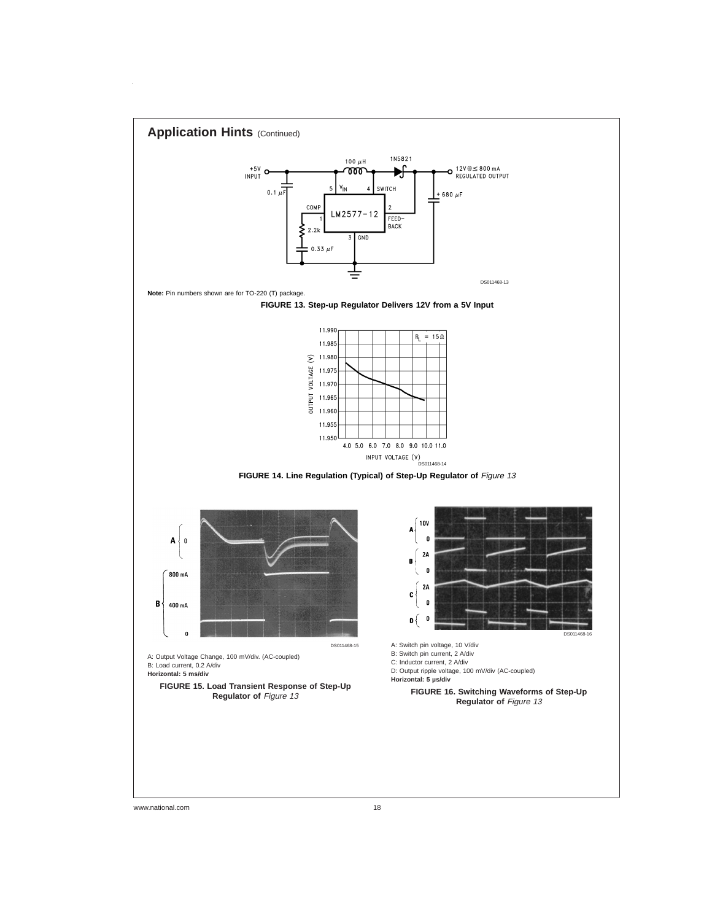

 $\hat{\boldsymbol{\beta}}$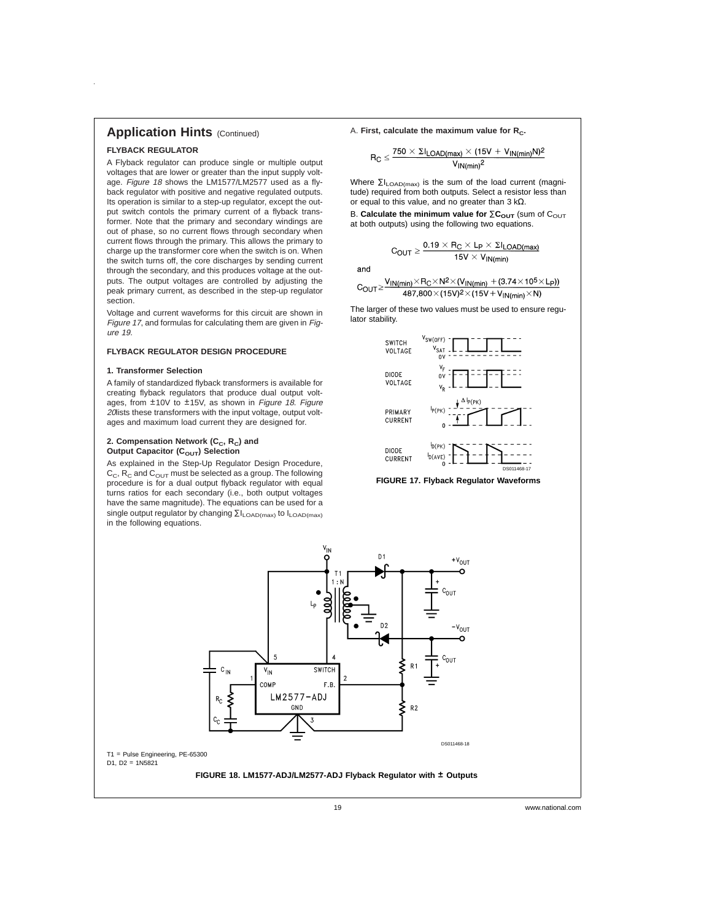### **FLYBACK REGULATOR**

A Flyback regulator can produce single or multiple output voltages that are lower or greater than the input supply voltage. Figure 18 shows the LM1577/LM2577 used as a flyback regulator with positive and negative regulated outputs. Its operation is similar to a step-up regulator, except the output switch contols the primary current of a flyback transformer. Note that the primary and secondary windings are out of phase, so no current flows through secondary when current flows through the primary. This allows the primary to charge up the transformer core when the switch is on. When the switch turns off, the core discharges by sending current through the secondary, and this produces voltage at the outputs. The output voltages are controlled by adjusting the peak primary current, as described in the step-up regulator section.

Voltage and current waveforms for this circuit are shown in Figure 17, and formulas for calculating them are given in Figure 19.

### **FLYBACK REGULATOR DESIGN PROCEDURE**

#### **1. Transformer Selection**

D1, D2 = 1N5821

A family of standardized flyback transformers is available for creating flyback regulators that produce dual output voltages, from ±10V to ±15V, as shown in Figure <sup>18</sup>. Figure 20 lists these transformers with the input voltage, output voltages and maximum load current they are designed for.

### 2. Compensation Network (C<sub>C</sub>, R<sub>C</sub>) and **Output Capacitor (C<sub>OUT</sub>) Selection**

As explained in the Step-Up Regulator Design Procedure,  $C_C$ ,  $R_C$  and  $C_{OUT}$  must be selected as a group. The following procedure is for a dual output flyback regulator with equal turns ratios for each secondary (i.e., both output voltages have the same magnitude). The equations can be used for a single output regulator by changing  $\Sigma I_{\text{LOAD(max)}}$  to  $I_{\text{LOAD(max)}}$ in the following equations.

A. First, calculate the maximum value for 
$$
R_c
$$
.

$$
R_C \leq \frac{750 \times \Sigma I_{LOAD(max)} \times (15V + V_{IN(min)}N)^2}{V_{IN(min)}^2}
$$

Where  $\Sigma I_{\mathsf{LOAD}(\mathsf{max})}$  is the sum of the load current (magnitude) required from both outputs. Select a resistor less than or equal to this value, and no greater than 3 kΩ.

B. **Calculate the minimum value for** ∑C<sub>OUT</sub> (sum of C<sub>OUT</sub> at both outputs) using the following two equations.

$$
C_{OUT} \geq \frac{0.19 \times R_C \times L_P \times \Sigma I_{LOAD(max)}}{15V \times V_{IN(min)}}
$$

and

$$
C_{OUT}{\geq}\frac{V_{IN(min)}{\times}R_{C}{\times}N^{2}{\times}(V_{IN(min)}+(3.74{\times}10^{5}{\times}L_{P}))}{487{,}800{\times}(15V)^{2}{\times}(15V+V_{IN(min)}{\times}N)}
$$

The larger of these two values must be used to ensure regulator stability.



**FIGURE 17. Flyback Regulator Waveforms**



### **FIGURE 18. LM1577-ADJ/LM2577-ADJ Flyback Regulator with ± Outputs**

19 www.national.com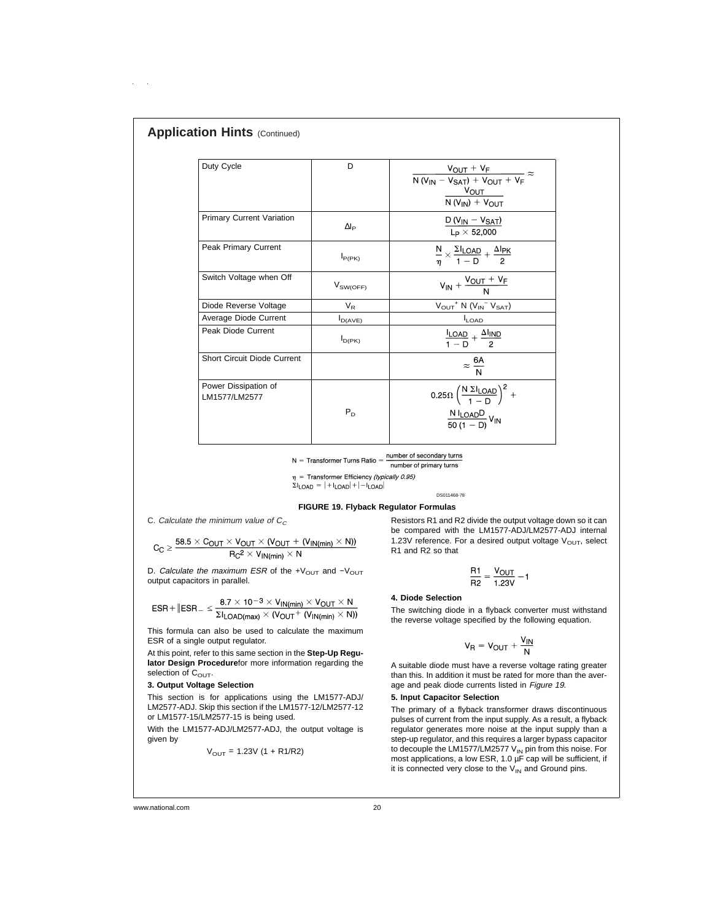| Duty Cycle                         | D             | $\frac{V_{OUT} + V_F}{N (V_{IN} - V_{SAT}) + V_{OUT} + V_F}$                               |
|------------------------------------|---------------|--------------------------------------------------------------------------------------------|
|                                    |               |                                                                                            |
|                                    |               |                                                                                            |
|                                    |               | $N(V_{IN}) + V_{OUT}$                                                                      |
| Primary Current Variation          |               | D ( $V_{IN} - V_{SAT}$ )                                                                   |
|                                    | $\Delta I_P$  | $L_P \times 52,000$                                                                        |
| Peak Primary Current               |               |                                                                                            |
|                                    | $I_{P(PK)}$   | $\frac{N}{n} \times \frac{\Sigma I_{\text{LOAD}}}{1 - D} + \frac{\Delta I_{\text{PK}}}{2}$ |
| Switch Voltage when Off            |               |                                                                                            |
|                                    | $V_{SW(OFF)}$ | $V_{IN}$ + $\frac{V_{OUT} + V_F}{N}$                                                       |
| Diode Reverse Voltage              | $V_{R}$       | $V_{OUT}$ <sup>+</sup> N ( $V_{IN}$ <sup>-</sup> $V_{SAT}$ )                               |
| Average Diode Current              | $I_{D(AVE)}$  | LOAD                                                                                       |
| Peak Diode Current                 |               |                                                                                            |
|                                    | $I_{D(PK)}$   | $\frac{I_{LOAD}}{1-D} + \frac{\Delta I_{IND}}{2}$                                          |
| <b>Short Circuit Diode Current</b> |               |                                                                                            |
|                                    |               | $\approx \frac{6A}{N}$                                                                     |
| Power Dissipation of               |               |                                                                                            |
| LM1577/LM2577                      |               | $0.25\Omega\left(\frac{N \Sigma I_{LOAD}}{1 - D}\right)^2 +$                               |
|                                    | $P_D$         | $\frac{N I_{LOAD}D}{50 (1 - D)} V_{IN}$                                                    |
|                                    |               |                                                                                            |
|                                    |               |                                                                                            |

 $N =$  Transformer Turns Ratio =  $\frac{number\ of\ secondary\ turns}{number\ of\ primary\ turns}$ 

 $\eta$  = Transformer Efficiency (typically 0.95)

 $\Sigma I_{LOAD}$  =  $|+I_{LOAD}|+|-I_{LOAD}|$ 

#### **FIGURE 19. Flyback Regulator Formulas**

C. Calculate the minimum value of  $C_c$ 

$$
C_C \geq \frac{58.5\times C_{OUT} \times V_{OUT} \times (V_{OUT} + (V_{IN(min)} \times N))}{R_C^2 \times V_{IN(min)} \times N}
$$

D. Calculate the maximum ESR of the +V<sub>OUT</sub> and  $-V<sub>OUT</sub>$ output capacitors in parallel.

$$
ESR + \lVert ESR_- \leq \frac{8.7 \times 10^{-3} \times V_{IN(min)} \times V_{OUT} \times N}{\Sigma I_{LOAD(max)} \times (V_{OUT} + (V_{IN(min)} \times N))}
$$

This formula can also be used to calculate the maximum ESR of a single output regulator.

At this point, refer to this same section in the **Step-Up Regulator Design Procedure**for more information regarding the selection of  $C<sub>OUT</sub>$ .

### **3. Output Voltage Selection**

This section is for applications using the LM1577-ADJ/ LM2577-ADJ. Skip this section if the LM1577-12/LM2577-12 or LM1577-15/LM2577-15 is being used.

With the LM1577-ADJ/LM2577-ADJ, the output voltage is given by

$$
V_{OUT} = 1.23V (1 + R1/R2)
$$

Resistors R1 and R2 divide the output voltage down so it can be compared with the LM1577-ADJ/LM2577-ADJ internal 1.23V reference. For a desired output voltage 
$$
V_{\text{OUT}}
$$
, select R1 and R2 so that

$$
\frac{R1}{R2} = \frac{V_{OUT}}{1.23V} - 1
$$

#### **4. Diode Selection**

DS011468-78

The switching diode in a flyback converter must withstand the reverse voltage specified by the following equation.

$$
V_R = V_{OUT} + \frac{V_{IN}}{N}
$$

A suitable diode must have a reverse voltage rating greater than this. In addition it must be rated for more than the average and peak diode currents listed in Figure 19.

### **5. Input Capacitor Selection**

The primary of a flyback transformer draws discontinuous pulses of current from the input supply. As a result, a flyback regulator generates more noise at the input supply than a step-up regulator, and this requires a larger bypass capacitor to decouple the LM1577/LM2577  $V_{IN}$  pin from this noise. For most applications, a low ESR, 1.0 µF cap will be sufficient, if it is connected very close to the  $V_{IN}$  and Ground pins.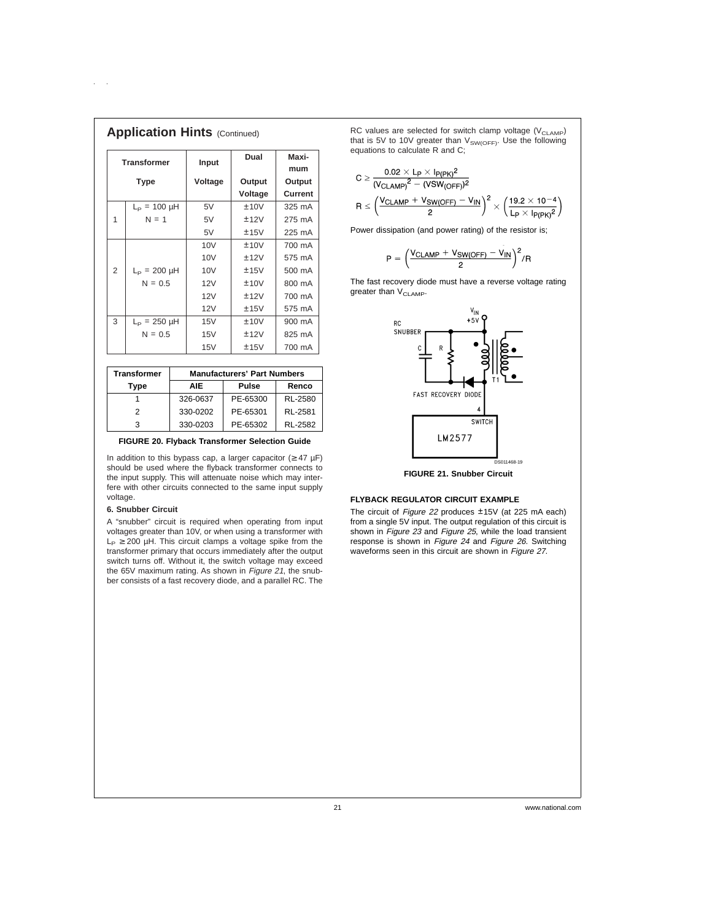|                | <b>Application Hints (Continued)</b> |         |         |                |  |  |  |  |
|----------------|--------------------------------------|---------|---------|----------------|--|--|--|--|
|                | <b>Transformer</b>                   | Input   | Dual    | Maxi-<br>mum   |  |  |  |  |
|                | <b>Type</b>                          | Voltage | Output  | Output         |  |  |  |  |
|                |                                      |         | Voltage | <b>Current</b> |  |  |  |  |
|                | $L_{\rm P}$ = 100 µH                 | 5V      | ±10V    | 325 mA         |  |  |  |  |
| 1              | $N = 1$                              | 5V      | ±12V    | 275 mA         |  |  |  |  |
|                |                                      | 5V      | ±15V    | 225 mA         |  |  |  |  |
|                |                                      | 10V     | ±10V    | 700 mA         |  |  |  |  |
|                |                                      | 10V     | ±12V    | 575 mA         |  |  |  |  |
| $\overline{2}$ | $L_{\rm p} = 200 \mu H$              | 10V     | ±15V    | 500 mA         |  |  |  |  |
|                | $N = 0.5$                            | 12V     | ±10V    | 800 mA         |  |  |  |  |
|                |                                      | 12V     | ±12V    | 700 mA         |  |  |  |  |
|                |                                      | 12V     | ±15V    | 575 mA         |  |  |  |  |
| 3              | $L_{\rm P}$ = 250 µH                 | 15V     | ±10V    | 900 mA         |  |  |  |  |
|                | $N = 0.5$                            | 15V     | ±12V    | 825 mA         |  |  |  |  |
|                |                                      | 15V     | ±15V    | 700 mA         |  |  |  |  |

| <b>Transformer</b> | <b>Manufacturers' Part Numbers</b> |          |         |  |
|--------------------|------------------------------------|----------|---------|--|
| Type               | AIE                                | Pulse    | Renco   |  |
|                    | 326-0637                           | PE-65300 | RL-2580 |  |
| 2                  | 330-0202                           | PE-65301 | RL-2581 |  |
| з                  | 330-0203                           | PE-65302 | RL-2582 |  |

**FIGURE 20. Flyback Transformer Selection Guide**

In addition to this bypass cap, a larger capacitor ( $\geq 47 \mu$ F) should be used where the flyback transformer connects to the input supply. This will attenuate noise which may interfere with other circuits connected to the same input supply voltage.

#### **6. Snubber Circuit**

 $\mathcal{L}^{\text{max}}$ 

A "snubber" circuit is required when operating from input voltages greater than 10V, or when using a transformer with  $L_P \ge 200$  µH. This circuit clamps a voltage spike from the transformer primary that occurs immediately after the output switch turns off. Without it, the switch voltage may exceed the 65V maximum rating. As shown in Figure 21, the snubber consists of a fast recovery diode, and a parallel RC. The RC values are selected for switch clamp voltage  $(V_{CLAMP})$ that is 5V to 10V greater than  $V_{SW(OFF)}$ . Use the following equations to calculate R and C;

$$
\begin{aligned} C & \geq \frac{0.02 \times L_P \times I_{P(PK)}{}^2}{\left(V_{CLAMP}\right)^2 - \left(VSW_{(OFF)}\right)^2} \\ R & \leq \left(\frac{V_{CLAMP} + V_{SW(OFF)} - V_{IN}}{2}\right)^2 \times \left(\frac{19.2 \times 10^{-4}}{L_P \times I_{P(PK)}{}^2}\right) \end{aligned}
$$

Power dissipation (and power rating) of the resistor is;

$$
P = \left(\frac{V_{CLAMP} + V_{SW(OFF)} - V_{IN}}{2}\right)^2 / R
$$

The fast recovery diode must have a reverse voltage rating greater than  $\mathsf{V}_{\mathsf{CLAMP}}$ .



**FIGURE 21. Snubber Circuit**

### **FLYBACK REGULATOR CIRCUIT EXAMPLE**

The circuit of Figure <sup>22</sup> produces ±15V (at 225 mA each) from a single 5V input. The output regulation of this circuit is shown in Figure 23 and Figure 25, while the load transient response is shown in Figure <sup>24</sup> and Figure 26. Switching waveforms seen in this circuit are shown in Figure <sup>27</sup>.

21 www.national.com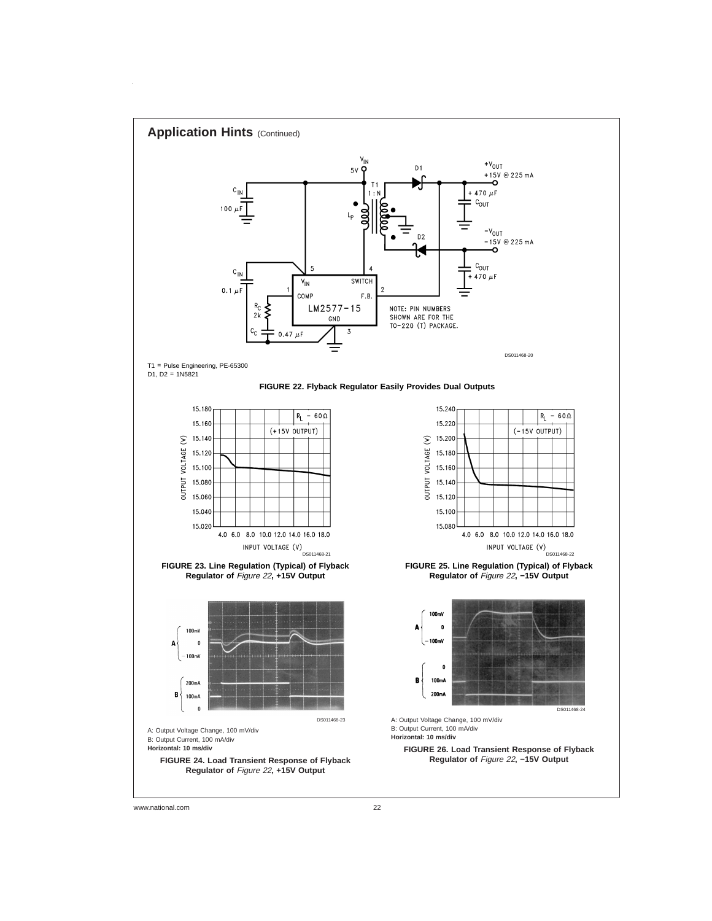

www.national.com 22

 $\bar{z}$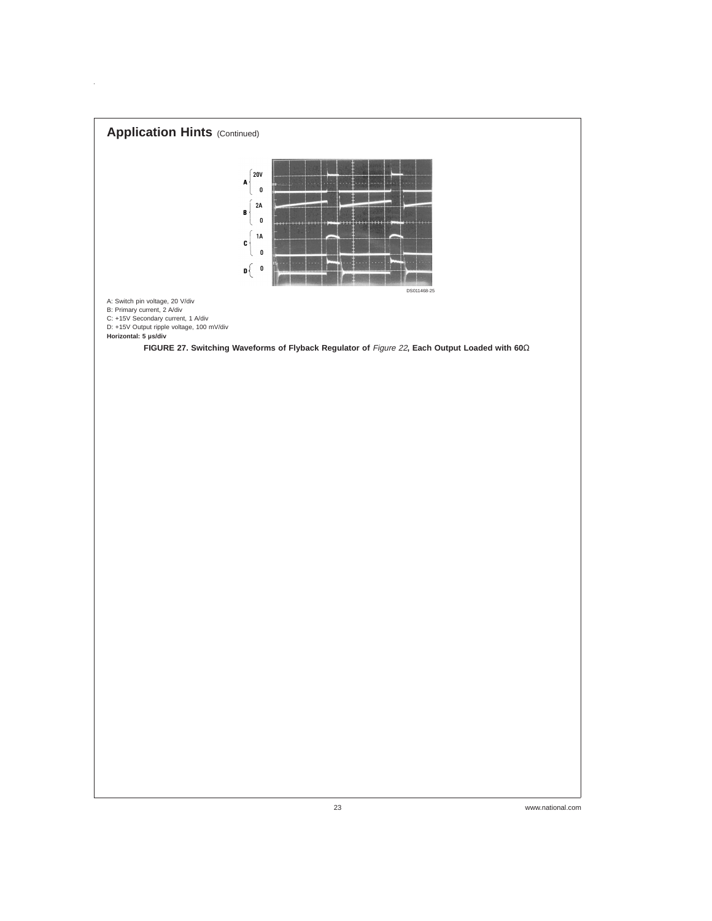

 $\hat{\boldsymbol{\theta}}$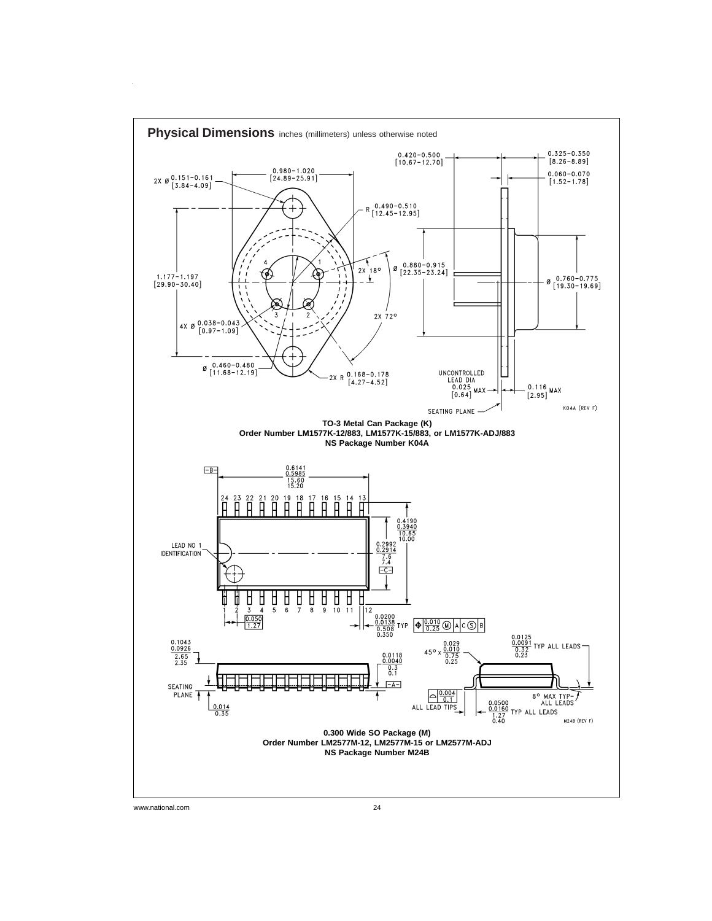

www.national.com 24

 $\hat{\boldsymbol{\alpha}}$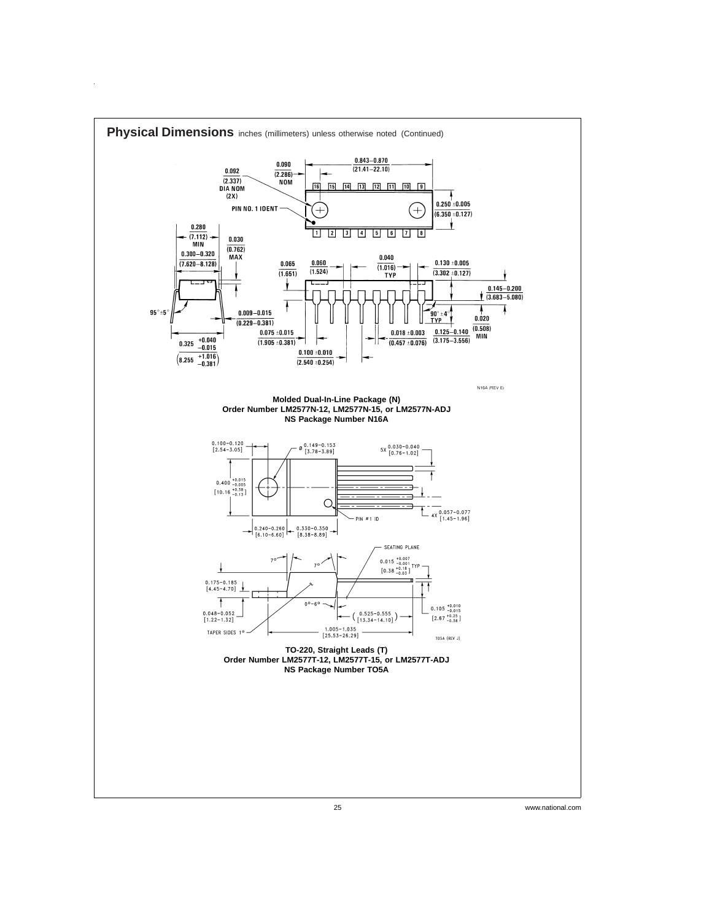

 $\hat{\boldsymbol{\theta}}$ 

25 www.national.com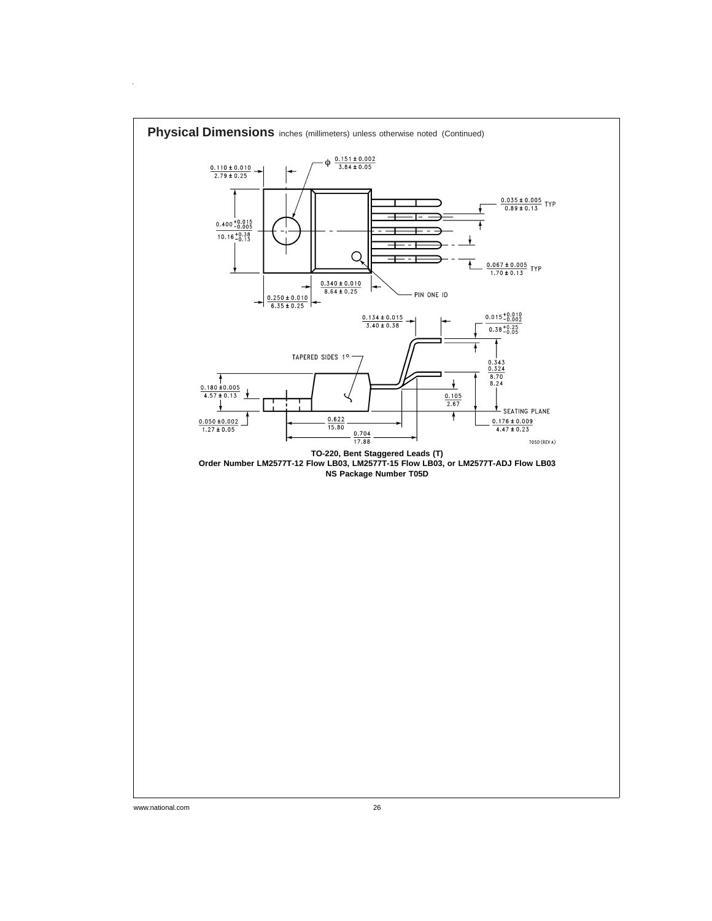

 $\hat{\mathcal{A}}$